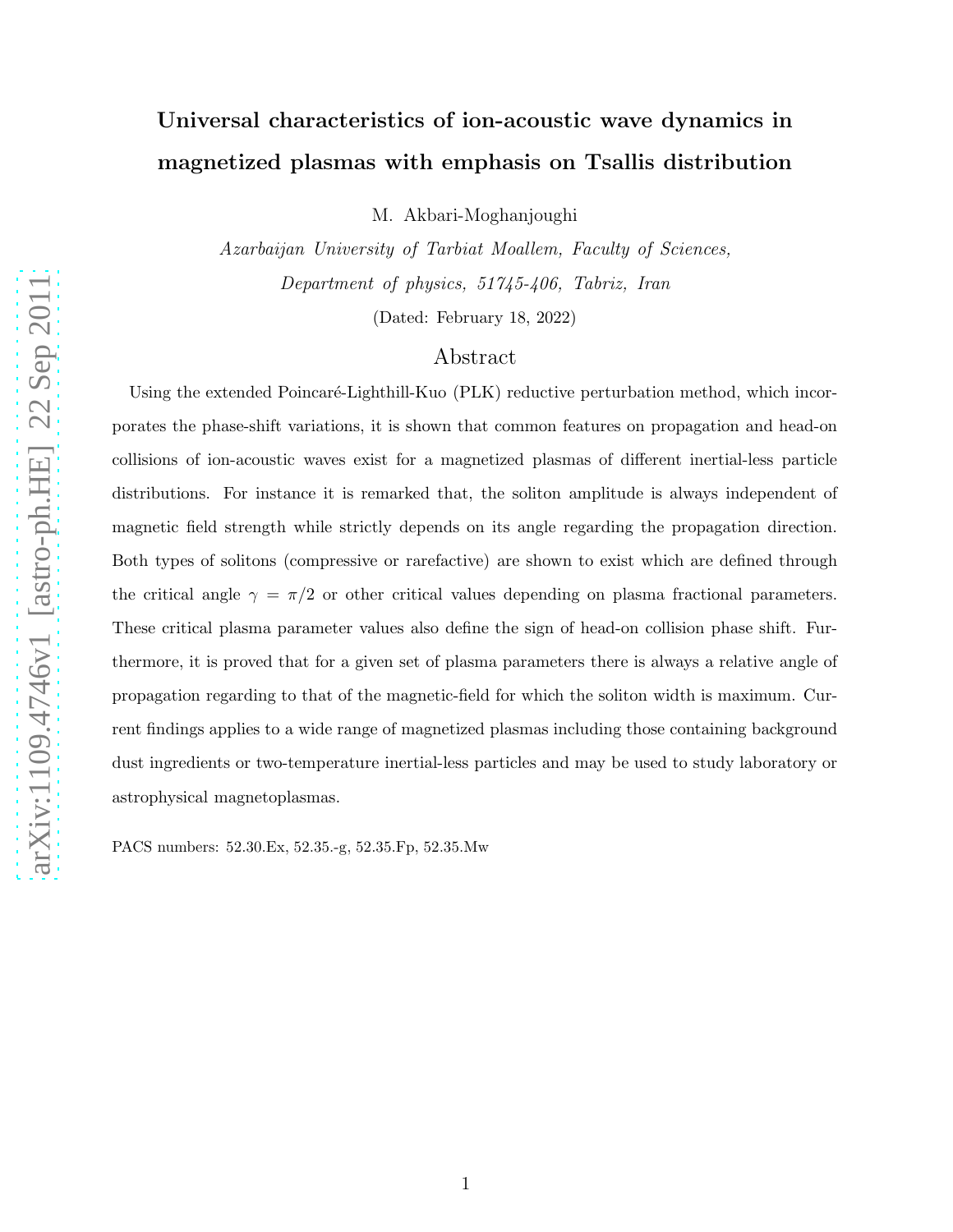# Universal characteristics of ion-acoustic wave dynamics in magnetized plasmas with emphasis on Tsallis distribution

M. Akbari-Moghanjoughi

Azarbaijan University of Tarbiat Moallem, Faculty of Sciences, Department of physics, 51745-406, Tabriz, Iran

(Dated: February 18, 2022)

# Abstract

Using the extended Poincaré-Lighthill-Kuo (PLK) reductive perturbation method, which incorporates the phase-shift variations, it is shown that common features on propagation and head-on collisions of ion-acoustic waves exist for a magnetized plasmas of different inertial-less particle distributions. For instance it is remarked that, the soliton amplitude is always independent of magnetic field strength while strictly depends on its angle regarding the propagation direction. Both types of solitons (compressive or rarefactive) are shown to exist which are defined through the critical angle  $\gamma = \pi/2$  or other critical values depending on plasma fractional parameters. These critical plasma parameter values also define the sign of head-on collision phase shift. Furthermore, it is proved that for a given set of plasma parameters there is always a relative angle of propagation regarding to that of the magnetic-field for which the soliton width is maximum. Current findings applies to a wide range of magnetized plasmas including those containing background dust ingredients or two-temperature inertial-less particles and may be used to study laboratory or astrophysical magnetoplasmas.

PACS numbers: 52.30.Ex, 52.35.-g, 52.35.Fp, 52.35.Mw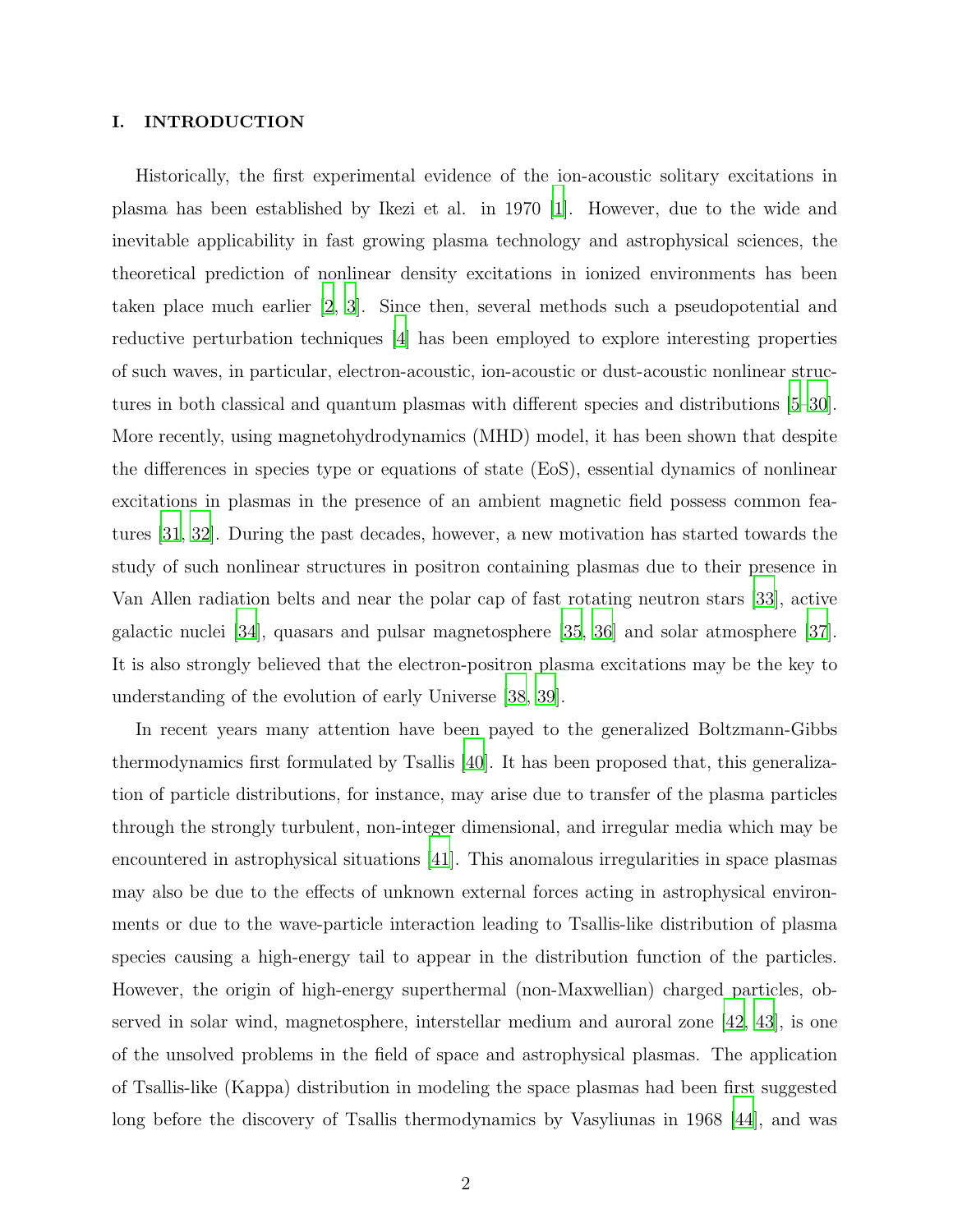## I. INTRODUCTION

Historically, the first experimental evidence of the ion-acoustic solitary excitations in plasma has been established by Ikezi et al. in 1970 [\[1](#page-12-0)]. However, due to the wide and inevitable applicability in fast growing plasma technology and astrophysical sciences, the theoretical prediction of nonlinear density excitations in ionized environments has been taken place much earlier [\[2,](#page-12-1) [3\]](#page-12-2). Since then, several methods such a pseudopotential and reductive perturbation techniques [\[4\]](#page-12-3) has been employed to explore interesting properties of such waves, in particular, electron-acoustic, ion-acoustic or dust-acoustic nonlinear structures in both classical and quantum plasmas with different species and distributions [\[5](#page-12-4)[–30\]](#page-13-0). More recently, using magnetohydrodynamics (MHD) model, it has been shown that despite the differences in species type or equations of state (EoS), essential dynamics of nonlinear excitations in plasmas in the presence of an ambient magnetic field possess common features [\[31](#page-13-1), [32\]](#page-13-2). During the past decades, however, a new motivation has started towards the study of such nonlinear structures in positron containing plasmas due to their presence in Van Allen radiation belts and near the polar cap of fast rotating neutron stars [\[33\]](#page-13-3), active galactic nuclei [\[34\]](#page-13-4), quasars and pulsar magnetosphere [\[35,](#page-13-5) [36\]](#page-13-6) and solar atmosphere [\[37\]](#page-13-7). It is also strongly believed that the electron-positron plasma excitations may be the key to understanding of the evolution of early Universe [\[38](#page-13-8), [39\]](#page-13-9).

In recent years many attention have been payed to the generalized Boltzmann-Gibbs thermodynamics first formulated by Tsallis [\[40](#page-14-0)]. It has been proposed that, this generalization of particle distributions, for instance, may arise due to transfer of the plasma particles through the strongly turbulent, non-integer dimensional, and irregular media which may be encountered in astrophysical situations [\[41](#page-14-1)]. This anomalous irregularities in space plasmas may also be due to the effects of unknown external forces acting in astrophysical environments or due to the wave-particle interaction leading to Tsallis-like distribution of plasma species causing a high-energy tail to appear in the distribution function of the particles. However, the origin of high-energy superthermal (non-Maxwellian) charged particles, observed in solar wind, magnetosphere, interstellar medium and auroral zone [\[42](#page-14-2), [43\]](#page-14-3), is one of the unsolved problems in the field of space and astrophysical plasmas. The application of Tsallis-like (Kappa) distribution in modeling the space plasmas had been first suggested long before the discovery of Tsallis thermodynamics by Vasyliunas in 1968 [\[44](#page-14-4)], and was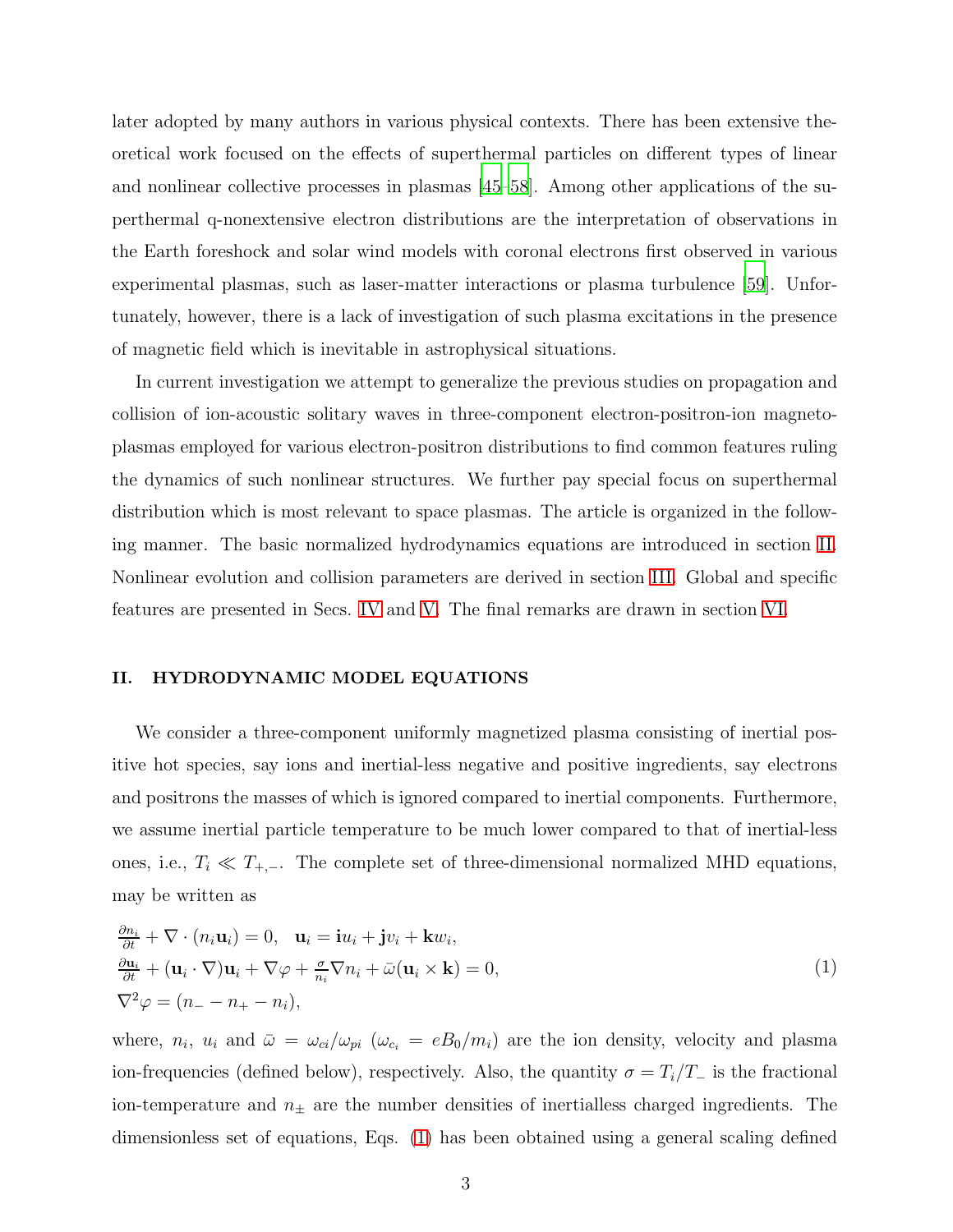later adopted by many authors in various physical contexts. There has been extensive theoretical work focused on the effects of superthermal particles on different types of linear and nonlinear collective processes in plasmas [\[45](#page-14-5)[–58\]](#page-14-6). Among other applications of the superthermal q-nonextensive electron distributions are the interpretation of observations in the Earth foreshock and solar wind models with coronal electrons first observed in various experimental plasmas, such as laser-matter interactions or plasma turbulence [\[59\]](#page-14-7). Unfortunately, however, there is a lack of investigation of such plasma excitations in the presence of magnetic field which is inevitable in astrophysical situations.

In current investigation we attempt to generalize the previous studies on propagation and collision of ion-acoustic solitary waves in three-component electron-positron-ion magnetoplasmas employed for various electron-positron distributions to find common features ruling the dynamics of such nonlinear structures. We further pay special focus on superthermal distribution which is most relevant to space plasmas. The article is organized in the following manner. The basic normalized hydrodynamics equations are introduced in section [II.](#page-2-0) Nonlinear evolution and collision parameters are derived in section [III.](#page-5-0) Global and specific features are presented in Secs. [IV](#page-7-0) and [V.](#page-8-0) The final remarks are drawn in section [VI.](#page-11-0)

# <span id="page-2-0"></span>II. HYDRODYNAMIC MODEL EQUATIONS

We consider a three-component uniformly magnetized plasma consisting of inertial positive hot species, say ions and inertial-less negative and positive ingredients, say electrons and positrons the masses of which is ignored compared to inertial components. Furthermore, we assume inertial particle temperature to be much lower compared to that of inertial-less ones, i.e.,  $T_i \ll T_{+,-}$ . The complete set of three-dimensional normalized MHD equations, may be written as

<span id="page-2-1"></span>
$$
\frac{\partial n_i}{\partial t} + \nabla \cdot (n_i \mathbf{u}_i) = 0, \quad \mathbf{u}_i = \mathbf{i} u_i + \mathbf{j} v_i + \mathbf{k} w_i,
$$
  
\n
$$
\frac{\partial \mathbf{u}_i}{\partial t} + (\mathbf{u}_i \cdot \nabla) \mathbf{u}_i + \nabla \varphi + \frac{\sigma}{n_i} \nabla n_i + \bar{\omega} (\mathbf{u}_i \times \mathbf{k}) = 0,
$$
  
\n
$$
\nabla^2 \varphi = (n_- - n_+ - n_i),
$$
\n(1)

where,  $n_i$ ,  $u_i$  and  $\bar{\omega} = \omega_{ci}/\omega_{pi}$  ( $\omega_{c_i} = eB_0/m_i$ ) are the ion density, velocity and plasma ion-frequencies (defined below), respectively. Also, the quantity  $\sigma = T_i/T_-\$  is the fractional ion-temperature and  $n_{\pm}$  are the number densities of inertialless charged ingredients. The dimensionless set of equations, Eqs. [\(1\)](#page-2-1) has been obtained using a general scaling defined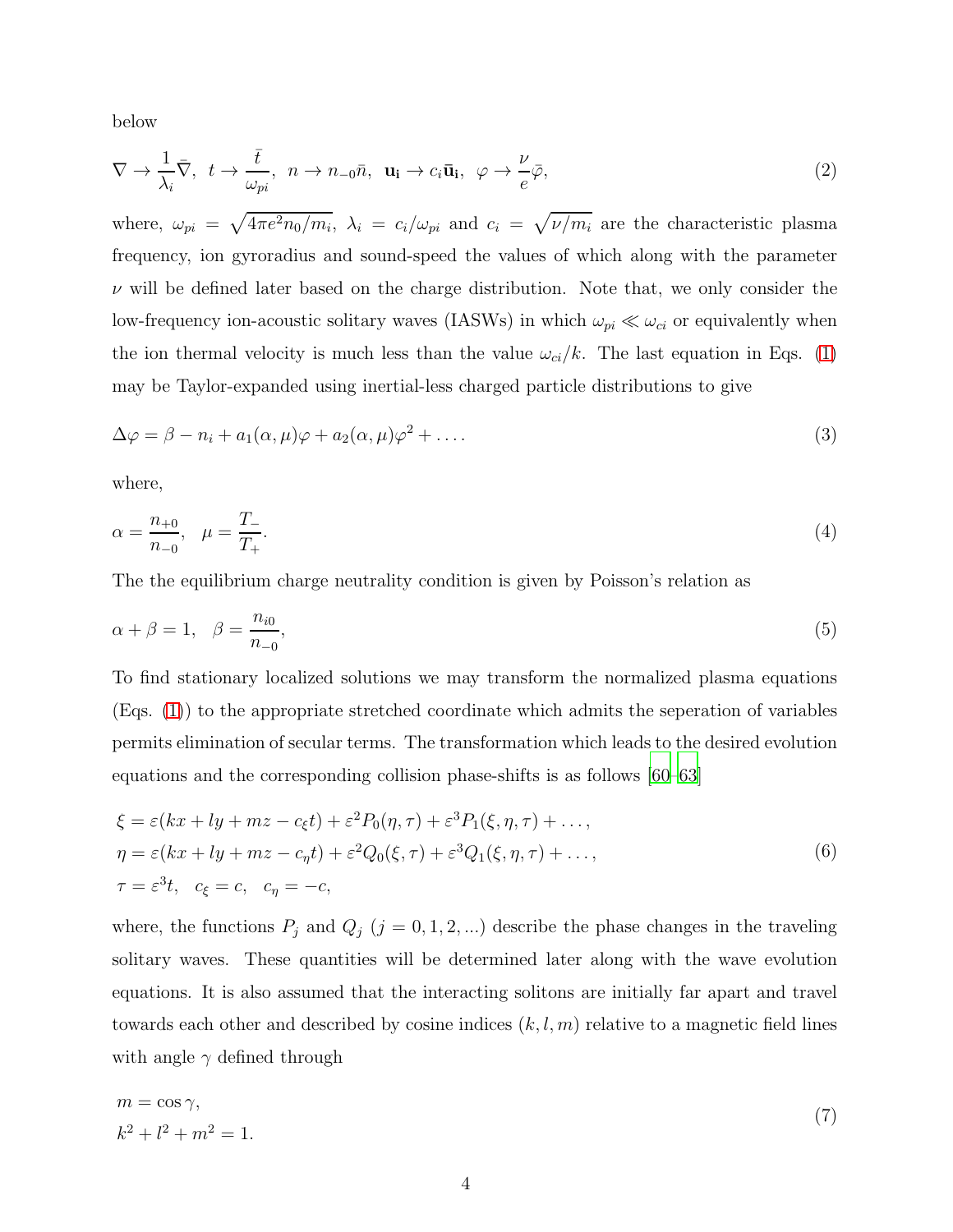below

$$
\nabla \to \frac{1}{\lambda_i} \bar{\nabla}, \quad t \to \frac{\bar{t}}{\omega_{pi}}, \quad n \to n_{-0} \bar{n}, \quad \mathbf{u_i} \to c_i \bar{\mathbf{u}}_i, \quad \varphi \to \frac{\nu}{e} \bar{\varphi}, \tag{2}
$$

where,  $\omega_{pi} = \sqrt{4\pi e^2 n_0/m_i}$ ,  $\lambda_i = c_i/\omega_{pi}$  and  $c_i = \sqrt{\nu/m_i}$  are the characteristic plasma frequency, ion gyroradius and sound-speed the values of which along with the parameter  $\nu$  will be defined later based on the charge distribution. Note that, we only consider the low-frequency ion-acoustic solitary waves (IASWs) in which  $\omega_{pi} \ll \omega_{ci}$  or equivalently when the ion thermal velocity is much less than the value  $\omega_{ci}/k$ . The last equation in Eqs. [\(1\)](#page-2-1) may be Taylor-expanded using inertial-less charged particle distributions to give

$$
\Delta \varphi = \beta - n_i + a_1(\alpha, \mu)\varphi + a_2(\alpha, \mu)\varphi^2 + \dots
$$
\n(3)

where,

$$
\alpha = \frac{n_{+0}}{n_{-0}}, \quad \mu = \frac{T_{-}}{T_{+}}.\tag{4}
$$

The the equilibrium charge neutrality condition is given by Poisson's relation as

$$
\alpha + \beta = 1, \quad \beta = \frac{n_{i0}}{n_{-0}},\tag{5}
$$

To find stationary localized solutions we may transform the normalized plasma equations (Eqs. [\(1\)](#page-2-1)) to the appropriate stretched coordinate which admits the seperation of variables permits elimination of secular terms. The transformation which leads to the desired evolution equations and the corresponding collision phase-shifts is as follows [\[60](#page-14-8)[–63](#page-14-9)]

<span id="page-3-0"></span>
$$
\xi = \varepsilon(kx + ly + mz - c_{\xi}t) + \varepsilon^{2} P_{0}(\eta, \tau) + \varepsilon^{3} P_{1}(\xi, \eta, \tau) + ..., \eta = \varepsilon(kx + ly + mz - c_{\eta}t) + \varepsilon^{2} Q_{0}(\xi, \tau) + \varepsilon^{3} Q_{1}(\xi, \eta, \tau) + ..., \tau = \varepsilon^{3}t, \quad c_{\xi} = c, \quad c_{\eta} = -c,
$$
\n(6)

where, the functions  $P_j$  and  $Q_j$  ( $j = 0, 1, 2, ...$ ) describe the phase changes in the traveling solitary waves. These quantities will be determined later along with the wave evolution equations. It is also assumed that the interacting solitons are initially far apart and travel towards each other and described by cosine indices  $(k, l, m)$  relative to a magnetic field lines with angle  $\gamma$  defined through

$$
m = \cos \gamma,
$$
  
\n
$$
k^2 + l^2 + m^2 = 1.
$$
\n(7)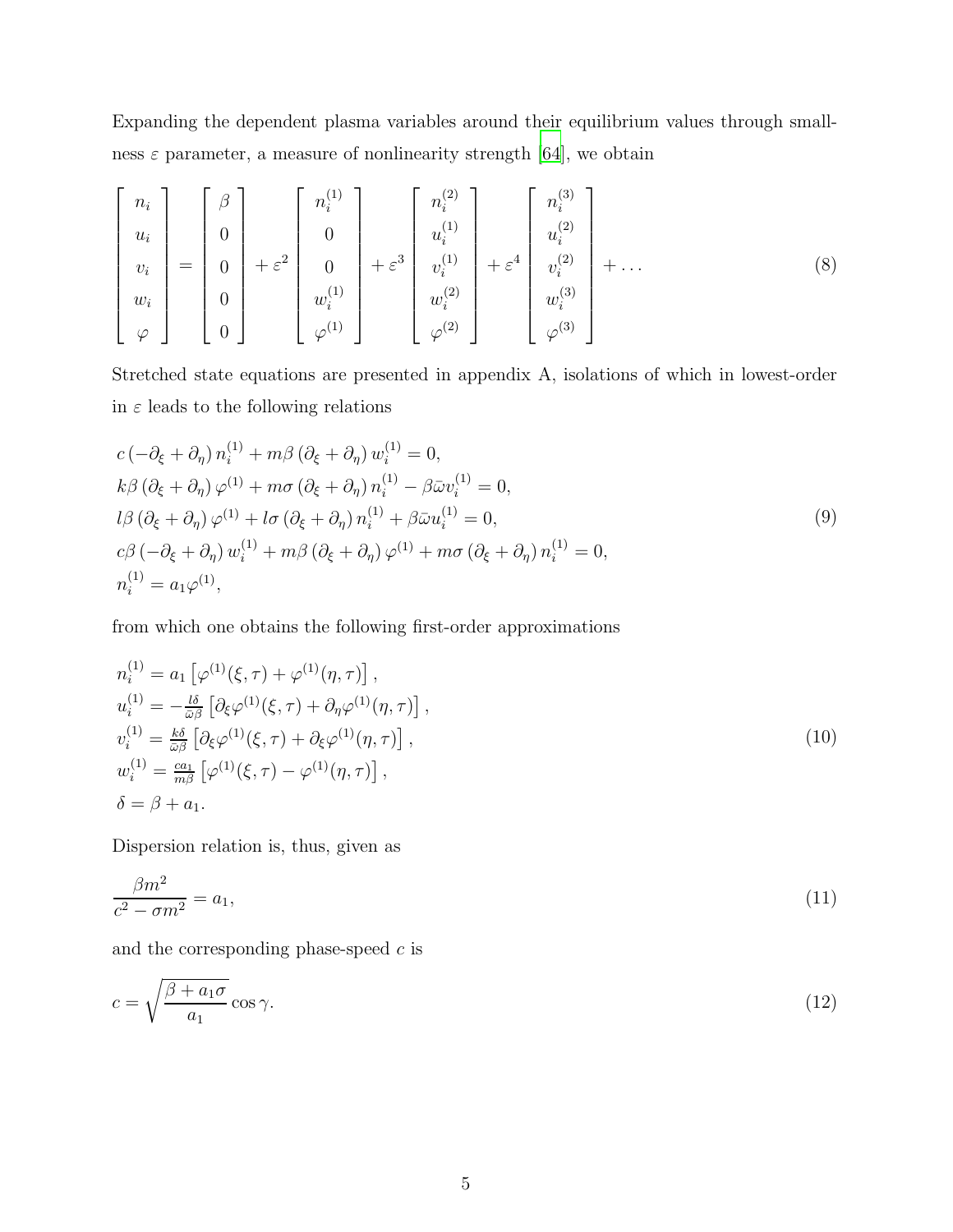Expanding the dependent plasma variables around their equilibrium values through smallness  $\varepsilon$  parameter, a measure of nonlinearity strength [\[64](#page-14-10)], we obtain

$$
\begin{bmatrix}\nn_i \\
u_i \\
v_i \\
w_i \\
\varphi\n\end{bmatrix} = \begin{bmatrix}\n\beta \\
0 \\
0 \\
0 \\
0 \\
0\n\end{bmatrix} + \varepsilon^2 \begin{bmatrix}\nn_i^{(1)} \\
0 \\
0 \\
w_i^{(1)} \\
\varphi^{(1)}\n\end{bmatrix} + \varepsilon^3 \begin{bmatrix}\nn_i^{(2)} \\
u_i^{(1)} \\
v_i^{(2)} \\
w_i^{(2)}\n\end{bmatrix} + \varepsilon^4 \begin{bmatrix}\nn_i^{(3)} \\
u_i^{(2)} \\
v_i^{(3)} \\
w_i^{(3)}\n\end{bmatrix} + \dots
$$
\n(8)

Stretched state equations are presented in appendix A, isolations of which in lowest-order in  $\varepsilon$  leads to the following relations

$$
c\left(-\partial_{\xi} + \partial_{\eta}\right) n_i^{(1)} + m\beta \left(\partial_{\xi} + \partial_{\eta}\right) w_i^{(1)} = 0,
$$
  
\n
$$
k\beta \left(\partial_{\xi} + \partial_{\eta}\right) \varphi^{(1)} + m\sigma \left(\partial_{\xi} + \partial_{\eta}\right) n_i^{(1)} - \beta \bar{\omega} v_i^{(1)} = 0,
$$
  
\n
$$
l\beta \left(\partial_{\xi} + \partial_{\eta}\right) \varphi^{(1)} + l\sigma \left(\partial_{\xi} + \partial_{\eta}\right) n_i^{(1)} + \beta \bar{\omega} u_i^{(1)} = 0,
$$
  
\n
$$
c\beta \left(-\partial_{\xi} + \partial_{\eta}\right) w_i^{(1)} + m\beta \left(\partial_{\xi} + \partial_{\eta}\right) \varphi^{(1)} + m\sigma \left(\partial_{\xi} + \partial_{\eta}\right) n_i^{(1)} = 0,
$$
  
\n
$$
n_i^{(1)} = a_1 \varphi^{(1)},
$$
\n(9)

from which one obtains the following first-order approximations

$$
n_i^{(1)} = a_1 \left[ \varphi^{(1)}(\xi, \tau) + \varphi^{(1)}(\eta, \tau) \right],
$$
  
\n
$$
u_i^{(1)} = -\frac{l\delta}{\omega \beta} \left[ \partial_{\xi} \varphi^{(1)}(\xi, \tau) + \partial_{\eta} \varphi^{(1)}(\eta, \tau) \right],
$$
  
\n
$$
v_i^{(1)} = \frac{k\delta}{\omega \beta} \left[ \partial_{\xi} \varphi^{(1)}(\xi, \tau) + \partial_{\xi} \varphi^{(1)}(\eta, \tau) \right],
$$
  
\n
$$
w_i^{(1)} = \frac{a_1}{m\beta} \left[ \varphi^{(1)}(\xi, \tau) - \varphi^{(1)}(\eta, \tau) \right],
$$
  
\n
$$
\delta = \beta + a_1.
$$
\n(10)

<span id="page-4-0"></span>Dispersion relation is, thus, given as

$$
\frac{\beta m^2}{c^2 - \sigma m^2} = a_1,\tag{11}
$$

and the corresponding phase-speed  $c$  is

$$
c = \sqrt{\frac{\beta + a_1 \sigma}{a_1}} \cos \gamma.
$$
 (12)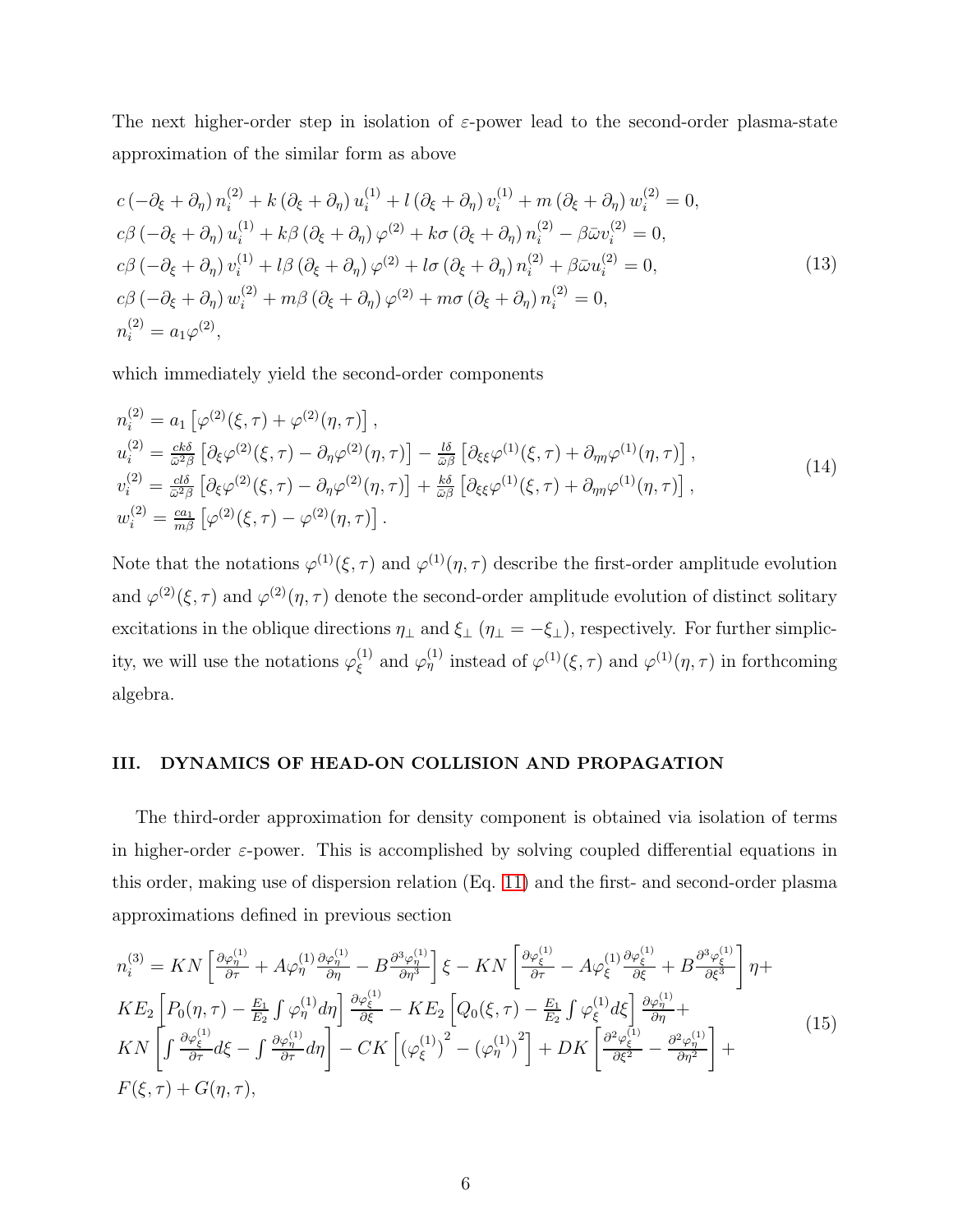The next higher-order step in isolation of  $\varepsilon$ -power lead to the second-order plasma-state approximation of the similar form as above

$$
c\left(-\partial_{\xi} + \partial_{\eta}\right) n_{i}^{(2)} + k\left(\partial_{\xi} + \partial_{\eta}\right) u_{i}^{(1)} + l\left(\partial_{\xi} + \partial_{\eta}\right) v_{i}^{(1)} + m\left(\partial_{\xi} + \partial_{\eta}\right) w_{i}^{(2)} = 0,
$$
  
\n
$$
c\beta\left(-\partial_{\xi} + \partial_{\eta}\right) u_{i}^{(1)} + k\beta\left(\partial_{\xi} + \partial_{\eta}\right) \varphi^{(2)} + k\sigma\left(\partial_{\xi} + \partial_{\eta}\right) n_{i}^{(2)} - \beta\bar{\omega}v_{i}^{(2)} = 0,
$$
  
\n
$$
c\beta\left(-\partial_{\xi} + \partial_{\eta}\right) v_{i}^{(1)} + l\beta\left(\partial_{\xi} + \partial_{\eta}\right) \varphi^{(2)} + l\sigma\left(\partial_{\xi} + \partial_{\eta}\right) n_{i}^{(2)} + \beta\bar{\omega}u_{i}^{(2)} = 0,
$$
  
\n
$$
c\beta\left(-\partial_{\xi} + \partial_{\eta}\right) w_{i}^{(2)} + m\beta\left(\partial_{\xi} + \partial_{\eta}\right) \varphi^{(2)} + m\sigma\left(\partial_{\xi} + \partial_{\eta}\right) n_{i}^{(2)} = 0,
$$
  
\n
$$
n_{i}^{(2)} = a_{1}\varphi^{(2)},
$$
\n(13)

which immediately yield the second-order components

$$
n_i^{(2)} = a_1 \left[ \varphi^{(2)}(\xi, \tau) + \varphi^{(2)}(\eta, \tau) \right],
$$
  
\n
$$
u_i^{(2)} = \frac{ck\delta}{\omega^2 \beta} \left[ \partial_\xi \varphi^{(2)}(\xi, \tau) - \partial_\eta \varphi^{(2)}(\eta, \tau) \right] - \frac{l\delta}{\omega \beta} \left[ \partial_{\xi\xi} \varphi^{(1)}(\xi, \tau) + \partial_{\eta\eta} \varphi^{(1)}(\eta, \tau) \right],
$$
  
\n
$$
v_i^{(2)} = \frac{cl\delta}{\omega^2 \beta} \left[ \partial_\xi \varphi^{(2)}(\xi, \tau) - \partial_\eta \varphi^{(2)}(\eta, \tau) \right] + \frac{k\delta}{\omega \beta} \left[ \partial_{\xi\xi} \varphi^{(1)}(\xi, \tau) + \partial_{\eta\eta} \varphi^{(1)}(\eta, \tau) \right],
$$
  
\n
$$
w_i^{(2)} = \frac{ca_1}{m\beta} \left[ \varphi^{(2)}(\xi, \tau) - \varphi^{(2)}(\eta, \tau) \right].
$$
\n(14)

Note that the notations  $\varphi^{(1)}(\xi, \tau)$  and  $\varphi^{(1)}(\eta, \tau)$  describe the first-order amplitude evolution and  $\varphi^{(2)}(\xi,\tau)$  and  $\varphi^{(2)}(\eta,\tau)$  denote the second-order amplitude evolution of distinct solitary excitations in the oblique directions  $\eta_{\perp}$  and  $\xi_{\perp}$  ( $\eta_{\perp} = -\xi_{\perp}$ ), respectively. For further simplicity, we will use the notations  $\varphi_{\varepsilon}^{(1)}$ <sup>(1)</sup> and  $\varphi_{\eta}^{(1)}$  instead of  $\varphi^{(1)}(\xi, \tau)$  and  $\varphi^{(1)}(\eta, \tau)$  in forthcoming algebra.

# <span id="page-5-0"></span>III. DYNAMICS OF HEAD-ON COLLISION AND PROPAGATION

The third-order approximation for density component is obtained via isolation of terms in higher-order  $\varepsilon$ -power. This is accomplished by solving coupled differential equations in this order, making use of dispersion relation (Eq. [11\)](#page-4-0) and the first- and second-order plasma approximations defined in previous section

<span id="page-5-1"></span>
$$
n_i^{(3)} = KN \left[ \frac{\partial \varphi_{\eta}^{(1)}}{\partial \tau} + A \varphi_{\eta}^{(1)} \frac{\partial \varphi_{\eta}^{(1)}}{\partial \eta} - B \frac{\partial^3 \varphi_{\eta}^{(1)}}{\partial \eta^3} \right] \xi - KN \left[ \frac{\partial \varphi_{\xi}^{(1)}}{\partial \tau} - A \varphi_{\xi}^{(1)} \frac{\partial \varphi_{\xi}^{(1)}}{\partial \xi} + B \frac{\partial^3 \varphi_{\xi}^{(1)}}{\partial \xi^3} \right] \eta + K E_2 \left[ P_0(\eta, \tau) - \frac{E_1}{E_2} \int \varphi_{\eta}^{(1)} d\eta \right] \frac{\partial \varphi_{\xi}^{(1)}}{\partial \xi} - KE_2 \left[ Q_0(\xi, \tau) - \frac{E_1}{E_2} \int \varphi_{\xi}^{(1)} d\xi \right] \frac{\partial \varphi_{\eta}^{(1)}}{\partial \eta} + K N \left[ \int \frac{\partial \varphi_{\xi}^{(1)}}{\partial \tau} d\xi - \int \frac{\partial \varphi_{\eta}^{(1)}}{\partial \tau} d\eta \right] - CK \left[ \left( \varphi_{\xi}^{(1)} \right)^2 - \left( \varphi_{\eta}^{(1)} \right)^2 \right] + DK \left[ \frac{\partial^2 \varphi_{\xi}^{(1)}}{\partial \xi^2} - \frac{\partial^2 \varphi_{\eta}^{(1)}}{\partial \eta^2} \right] + F(\xi, \tau) + G(\eta, \tau), \tag{15}
$$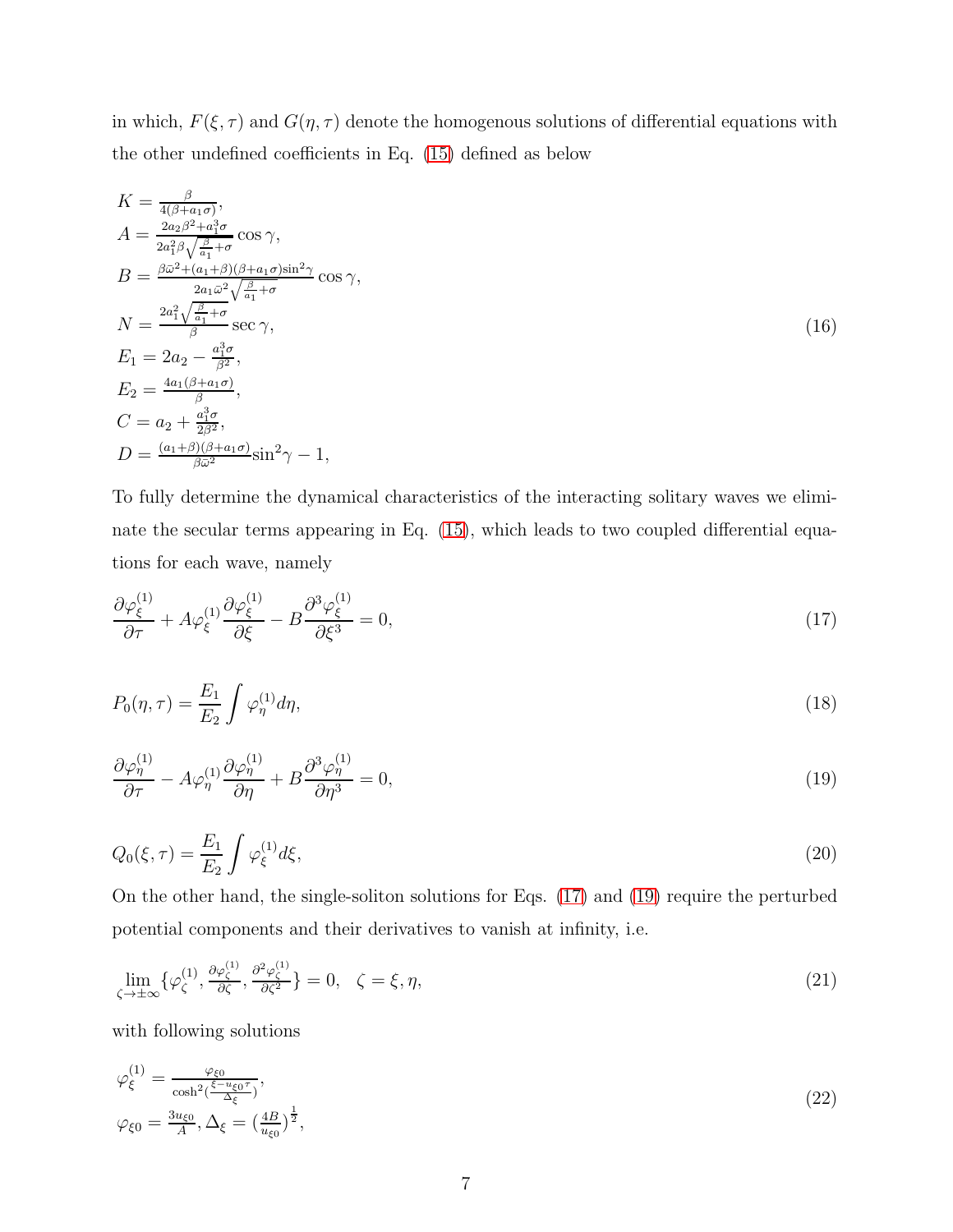in which,  $F(\xi, \tau)$  and  $G(\eta, \tau)$  denote the homogenous solutions of differential equations with the other undefined coefficients in Eq. [\(15\)](#page-5-1) defined as below

<span id="page-6-5"></span>
$$
K = \frac{\beta}{4(\beta + a_1 \sigma)},
$$
  
\n
$$
A = \frac{2a_2 \beta^2 + a_1^3 \sigma}{2a_1^2 \beta \sqrt{\frac{\beta}{a_1} + \sigma}} \cos \gamma,
$$
  
\n
$$
B = \frac{\beta \bar{\omega}^2 + (a_1 + \beta)(\beta + a_1 \sigma) \sin^2 \gamma}{2a_1 \bar{\omega}^2 \sqrt{\frac{\beta}{a_1} + \sigma}} \cos \gamma,
$$
  
\n
$$
N = \frac{2a_1^2 \sqrt{\frac{\beta}{a_1} + \sigma}}{\beta} \sec \gamma,
$$
  
\n
$$
E_1 = 2a_2 - \frac{a_1^3 \sigma}{\beta^2},
$$
  
\n
$$
E_2 = \frac{4a_1(\beta + a_1 \sigma)}{\beta},
$$
  
\n
$$
C = a_2 + \frac{a_1^3 \sigma}{\beta^2},
$$
  
\n
$$
D = \frac{(a_1 + \beta)(\beta + a_1 \sigma)}{\beta \bar{\omega}^2} \sin^2 \gamma - 1,
$$
  
\n(16)

To fully determine the dynamical characteristics of the interacting solitary waves we eliminate the secular terms appearing in Eq. [\(15\)](#page-5-1), which leads to two coupled differential equations for each wave, namely

<span id="page-6-0"></span>
$$
\frac{\partial \varphi_{\xi}^{(1)}}{\partial \tau} + A \varphi_{\xi}^{(1)} \frac{\partial \varphi_{\xi}^{(1)}}{\partial \xi} - B \frac{\partial^3 \varphi_{\xi}^{(1)}}{\partial \xi^3} = 0,\tag{17}
$$

<span id="page-6-2"></span>
$$
P_0(\eta,\tau) = \frac{E_1}{E_2} \int \varphi_{\eta}^{(1)} d\eta,\tag{18}
$$

<span id="page-6-1"></span>
$$
\frac{\partial \varphi_{\eta}^{(1)}}{\partial \tau} - A \varphi_{\eta}^{(1)} \frac{\partial \varphi_{\eta}^{(1)}}{\partial \eta} + B \frac{\partial^3 \varphi_{\eta}^{(1)}}{\partial \eta^3} = 0,\tag{19}
$$

<span id="page-6-3"></span>
$$
Q_0(\xi,\tau) = \frac{E_1}{E_2} \int \varphi_{\xi}^{(1)} d\xi,\tag{20}
$$

On the other hand, the single-soliton solutions for Eqs. [\(17\)](#page-6-0) and [\(19\)](#page-6-1) require the perturbed potential components and their derivatives to vanish at infinity, i.e.

<span id="page-6-4"></span>
$$
\lim_{\zeta \to \pm \infty} \{ \varphi_{\zeta}^{(1)}, \frac{\partial \varphi_{\zeta}^{(1)}}{\partial \zeta}, \frac{\partial^2 \varphi_{\zeta}^{(1)}}{\partial \zeta^2} \} = 0, \quad \zeta = \xi, \eta,
$$
\n(21)

with following solutions

$$
\varphi_{\xi}^{(1)} = \frac{\varphi_{\xi 0}}{\cosh^2(\frac{\xi - u_{\xi 0} \tau}{\Delta_{\xi}})},
$$
  

$$
\varphi_{\xi 0} = \frac{3u_{\xi 0}}{A}, \Delta_{\xi} = (\frac{4B}{u_{\xi 0}})^{\frac{1}{2}},
$$
\n(22)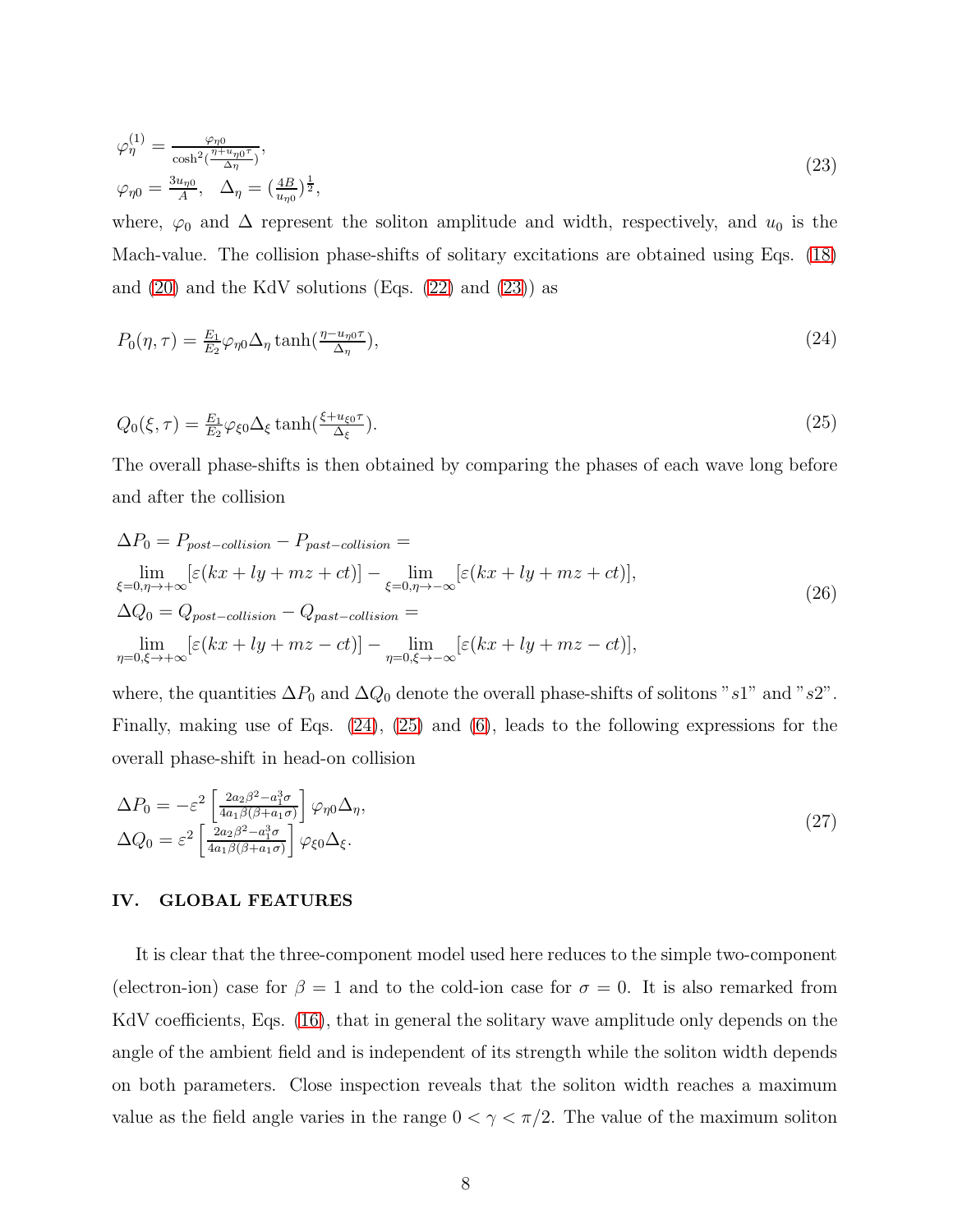<span id="page-7-1"></span>
$$
\varphi_{\eta}^{(1)} = \frac{\varphi_{\eta0}}{\cosh^2(\frac{\eta + u_{\eta0}\tau}{\Delta \eta})},
$$
  

$$
\varphi_{\eta0} = \frac{3u_{\eta0}}{A}, \quad \Delta_{\eta} = (\frac{4B}{u_{\eta0}})^{\frac{1}{2}},
$$
\n(23)

where,  $\varphi_0$  and  $\Delta$  represent the soliton amplitude and width, respectively, and  $u_0$  is the Mach-value. The collision phase-shifts of solitary excitations are obtained using Eqs. [\(18\)](#page-6-2) and  $(20)$  and the KdV solutions (Eqs.  $(22)$  and  $(23)$ ) as

<span id="page-7-3"></span><span id="page-7-2"></span>
$$
P_0(\eta, \tau) = \frac{E_1}{E_2} \varphi_{\eta 0} \Delta_{\eta} \tanh(\frac{\eta - u_{\eta 0} \tau}{\Delta_{\eta}}), \tag{24}
$$

$$
Q_0(\xi,\tau) = \frac{E_1}{E_2} \varphi_{\xi 0} \Delta_{\xi} \tanh(\frac{\xi + u_{\xi 0} \tau}{\Delta_{\xi}}). \tag{25}
$$

The overall phase-shifts is then obtained by comparing the phases of each wave long before and after the collision

$$
\Delta P_0 = P_{post-collision} - P_{past-collision} =
$$
\n
$$
\lim_{\xi=0,\eta \to +\infty} [\varepsilon(kx + ly + mz + ct)] - \lim_{\xi=0,\eta \to -\infty} [\varepsilon(kx + ly + mz + ct)],
$$
\n
$$
\Delta Q_0 = Q_{post-collision} - Q_{past-collision} =
$$
\n
$$
\lim_{\eta=0,\xi \to +\infty} [\varepsilon(kx + ly + mz - ct)] - \lim_{\eta=0,\xi \to -\infty} [\varepsilon(kx + ly + mz - ct)],
$$
\n(26)

where, the quantities  $\Delta P_0$  and  $\Delta Q_0$  denote the overall phase-shifts of solitons "s1" and "s2". Finally, making use of Eqs. [\(24\)](#page-7-2), [\(25\)](#page-7-3) and [\(6\)](#page-3-0), leads to the following expressions for the overall phase-shift in head-on collision

<span id="page-7-4"></span>
$$
\Delta P_0 = -\varepsilon^2 \left[ \frac{2a_2 \beta^2 - a_1^3 \sigma}{4a_1 \beta(\beta + a_1 \sigma)} \right] \varphi_{\eta 0} \Delta_{\eta},
$$
  
\n
$$
\Delta Q_0 = \varepsilon^2 \left[ \frac{2a_2 \beta^2 - a_1^3 \sigma}{4a_1 \beta(\beta + a_1 \sigma)} \right] \varphi_{\xi 0} \Delta_{\xi}.
$$
\n(27)

#### <span id="page-7-0"></span>IV. GLOBAL FEATURES

It is clear that the three-component model used here reduces to the simple two-component (electron-ion) case for  $\beta = 1$  and to the cold-ion case for  $\sigma = 0$ . It is also remarked from KdV coefficients, Eqs. [\(16\)](#page-6-5), that in general the solitary wave amplitude only depends on the angle of the ambient field and is independent of its strength while the soliton width depends on both parameters. Close inspection reveals that the soliton width reaches a maximum value as the field angle varies in the range  $0 < \gamma < \pi/2$ . The value of the maximum soliton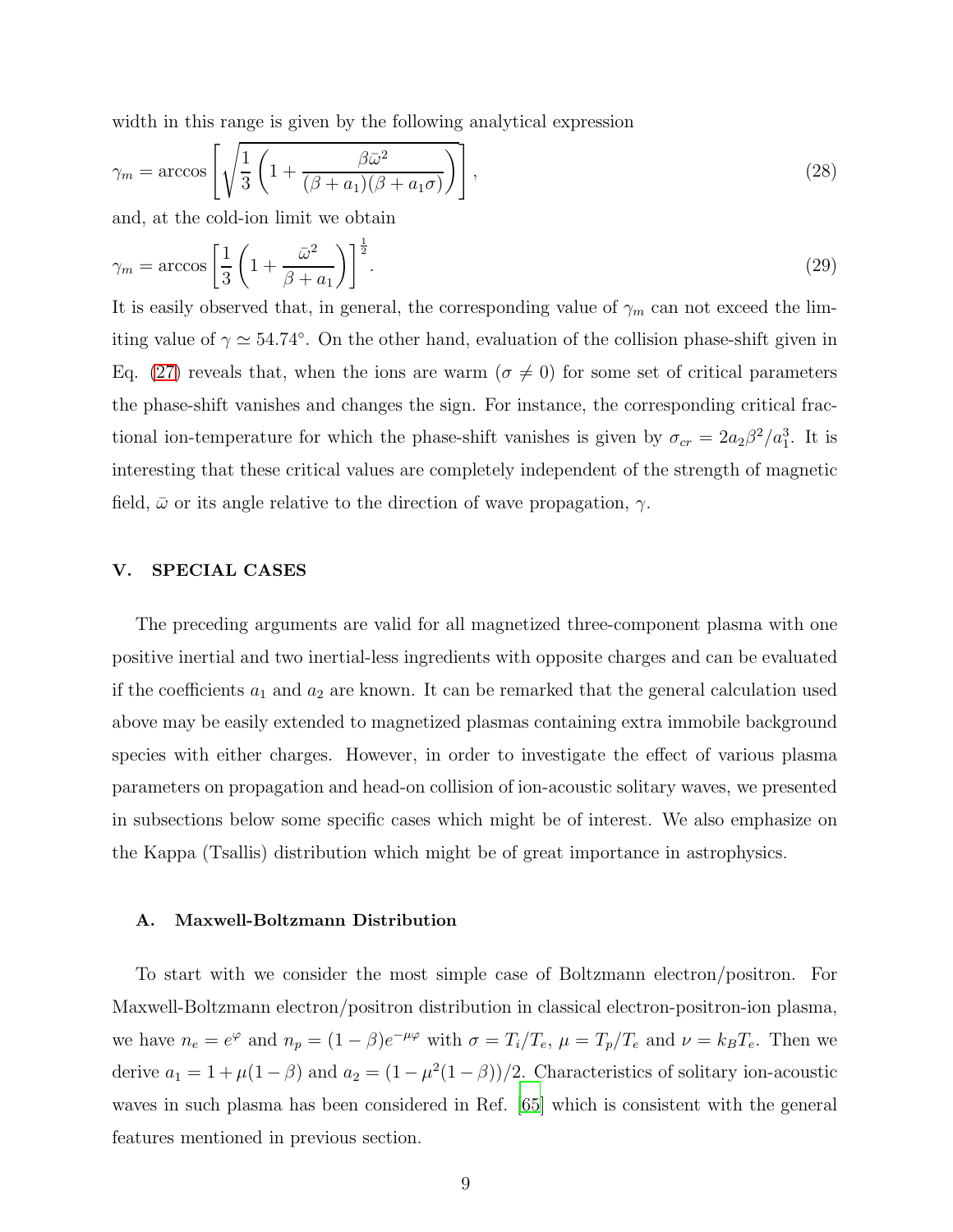width in this range is given by the following analytical expression

$$
\gamma_m = \arccos\left[\sqrt{\frac{1}{3}\left(1 + \frac{\beta \bar{\omega}^2}{(\beta + a_1)(\beta + a_1\sigma)}\right)}\right],\tag{28}
$$

and, at the cold-ion limit we obtain

$$
\gamma_m = \arccos\left[\frac{1}{3}\left(1 + \frac{\bar{\omega}^2}{\beta + a_1}\right)\right]^{\frac{1}{2}}.\tag{29}
$$

It is easily observed that, in general, the corresponding value of  $\gamma_m$  can not exceed the limiting value of  $\gamma \simeq 54.74^{\circ}$ . On the other hand, evaluation of the collision phase-shift given in Eq. [\(27\)](#page-7-4) reveals that, when the ions are warm ( $\sigma \neq 0$ ) for some set of critical parameters the phase-shift vanishes and changes the sign. For instance, the corresponding critical fractional ion-temperature for which the phase-shift vanishes is given by  $\sigma_{cr} = 2a_2\beta^2/a_1^3$ . It is interesting that these critical values are completely independent of the strength of magnetic field,  $\bar{\omega}$  or its angle relative to the direction of wave propagation,  $\gamma$ .

#### <span id="page-8-0"></span>V. SPECIAL CASES

The preceding arguments are valid for all magnetized three-component plasma with one positive inertial and two inertial-less ingredients with opposite charges and can be evaluated if the coefficients  $a_1$  and  $a_2$  are known. It can be remarked that the general calculation used above may be easily extended to magnetized plasmas containing extra immobile background species with either charges. However, in order to investigate the effect of various plasma parameters on propagation and head-on collision of ion-acoustic solitary waves, we presented in subsections below some specific cases which might be of interest. We also emphasize on the Kappa (Tsallis) distribution which might be of great importance in astrophysics.

#### A. Maxwell-Boltzmann Distribution

To start with we consider the most simple case of Boltzmann electron/positron. For Maxwell-Boltzmann electron/positron distribution in classical electron-positron-ion plasma, we have  $n_e = e^{\varphi}$  and  $n_p = (1 - \beta)e^{-\mu\varphi}$  with  $\sigma = T_i/T_e$ ,  $\mu = T_p/T_e$  and  $\nu = k_B T_e$ . Then we derive  $a_1 = 1 + \mu(1 - \beta)$  and  $a_2 = (1 - \mu^2(1 - \beta))/2$ . Characteristics of solitary ion-acoustic waves in such plasma has been considered in Ref. [\[65](#page-14-11)] which is consistent with the general features mentioned in previous section.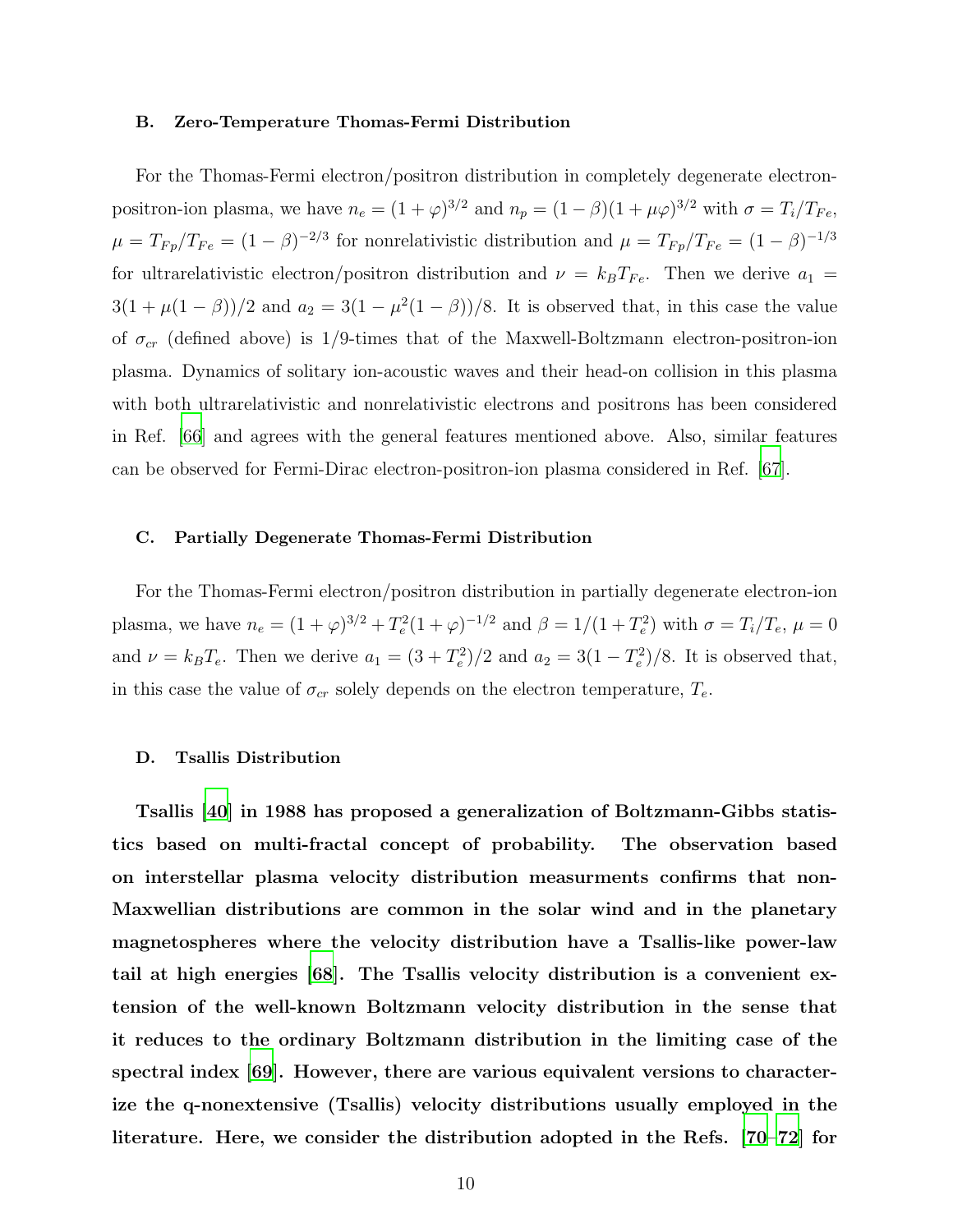#### B. Zero-Temperature Thomas-Fermi Distribution

For the Thomas-Fermi electron/positron distribution in completely degenerate electronpositron-ion plasma, we have  $n_e = (1 + \varphi)^{3/2}$  and  $n_p = (1 - \beta)(1 + \mu \varphi)^{3/2}$  with  $\sigma = T_i/T_{Fe}$ ,  $\mu = T_{Fp}/T_{Fe} = (1 - \beta)^{-2/3}$  for nonrelativistic distribution and  $\mu = T_{Fp}/T_{Fe} = (1 - \beta)^{-1/3}$ for ultrarelativistic electron/positron distribution and  $\nu = k_B T_{Fe}$ . Then we derive  $a_1$  $3(1 + \mu(1 - \beta))/2$  and  $a_2 = 3(1 - \mu^2(1 - \beta))/8$ . It is observed that, in this case the value of  $\sigma_{cr}$  (defined above) is 1/9-times that of the Maxwell-Boltzmann electron-positron-ion plasma. Dynamics of solitary ion-acoustic waves and their head-on collision in this plasma with both ultrarelativistic and nonrelativistic electrons and positrons has been considered in Ref. [\[66](#page-15-0)] and agrees with the general features mentioned above. Also, similar features can be observed for Fermi-Dirac electron-positron-ion plasma considered in Ref. [\[67\]](#page-15-1).

#### C. Partially Degenerate Thomas-Fermi Distribution

For the Thomas-Fermi electron/positron distribution in partially degenerate electron-ion plasma, we have  $n_e = (1 + \varphi)^{3/2} + T_e^2 (1 + \varphi)^{-1/2}$  and  $\beta = 1/(1 + T_e^2)$  with  $\sigma = T_i/T_e$ ,  $\mu = 0$ and  $\nu = k_B T_e$ . Then we derive  $a_1 = (3 + T_e^2)/2$  and  $a_2 = 3(1 - T_e^2)/8$ . It is observed that, in this case the value of  $\sigma_{cr}$  solely depends on the electron temperature,  $T_e$ .

#### D. Tsallis Distribution

Tsallis [\[40](#page-14-0)] in 1988 has proposed a generalization of Boltzmann-Gibbs statistics based on multi-fractal concept of probability. The observation based on interstellar plasma velocity distribution measurments confirms that non-Maxwellian distributions are common in the solar wind and in the planetary magnetospheres where the velocity distribution have a Tsallis-like power-law tail at high energies [\[68](#page-15-2)]. The Tsallis velocity distribution is a convenient extension of the well-known Boltzmann velocity distribution in the sense that it reduces to the ordinary Boltzmann distribution in the limiting case of the spectral index [\[69](#page-15-3)]. However, there are various equivalent versions to characterize the q-nonextensive (Tsallis) velocity distributions usually employed in the literature. Here, we consider the distribution adopted in the Refs. [\[70](#page-15-4)[–72](#page-15-5)] for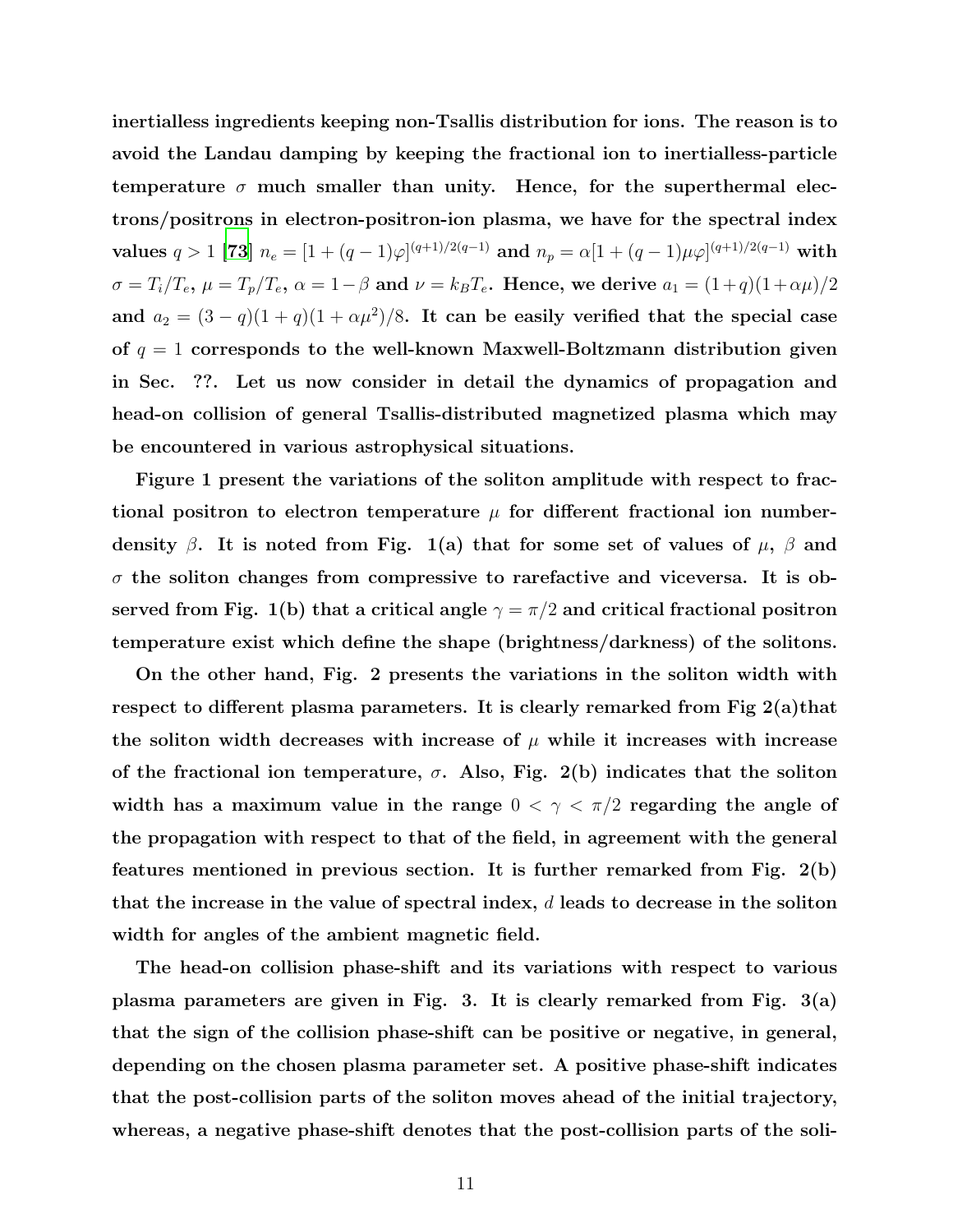inertialless ingredients keeping non-Tsallis distribution for ions. The reason is to avoid the Landau damping by keeping the fractional ion to inertialless-particle temperature  $\sigma$  much smaller than unity. Hence, for the superthermal electrons/positrons in electron-positron-ion plasma, we have for the spectral index values  $q > 1$  [\[73](#page-15-6)]  $n_e = [1 + (q-1)\varphi]^{(q+1)/2(q-1)}$  and  $n_p = \alpha[1 + (q-1)\mu\varphi]^{(q+1)/2(q-1)}$  with  $\sigma = T_i/T_e$ ,  $\mu = T_p/T_e$ ,  $\alpha = 1-\beta$  and  $\nu = k_B T_e$ . Hence, we derive  $a_1 = (1+q)(1+\alpha\mu)/2$ and  $a_2 = (3 - q)(1 + q)(1 + \alpha \mu^2)/8$ . It can be easily verified that the special case of  $q = 1$  corresponds to the well-known Maxwell-Boltzmann distribution given in Sec. ??. Let us now consider in detail the dynamics of propagation and head-on collision of general Tsallis-distributed magnetized plasma which may be encountered in various astrophysical situations.

Figure 1 present the variations of the soliton amplitude with respect to fractional positron to electron temperature  $\mu$  for different fractional ion numberdensity  $\beta$ . It is noted from Fig. 1(a) that for some set of values of  $\mu$ ,  $\beta$  and  $\sigma$  the soliton changes from compressive to rarefactive and viceversa. It is observed from Fig. 1(b) that a critical angle  $\gamma = \pi/2$  and critical fractional positron temperature exist which define the shape (brightness/darkness) of the solitons.

On the other hand, Fig. 2 presents the variations in the soliton width with respect to different plasma parameters. It is clearly remarked from Fig 2(a)that the soliton width decreases with increase of  $\mu$  while it increases with increase of the fractional ion temperature,  $\sigma$ . Also, Fig. 2(b) indicates that the soliton width has a maximum value in the range  $0 < \gamma < \pi/2$  regarding the angle of the propagation with respect to that of the field, in agreement with the general features mentioned in previous section. It is further remarked from Fig. 2(b) that the increase in the value of spectral index,  $d$  leads to decrease in the soliton width for angles of the ambient magnetic field.

The head-on collision phase-shift and its variations with respect to various plasma parameters are given in Fig. 3. It is clearly remarked from Fig. 3(a) that the sign of the collision phase-shift can be positive or negative, in general, depending on the chosen plasma parameter set. A positive phase-shift indicates that the post-collision parts of the soliton moves ahead of the initial trajectory, whereas, a negative phase-shift denotes that the post-collision parts of the soli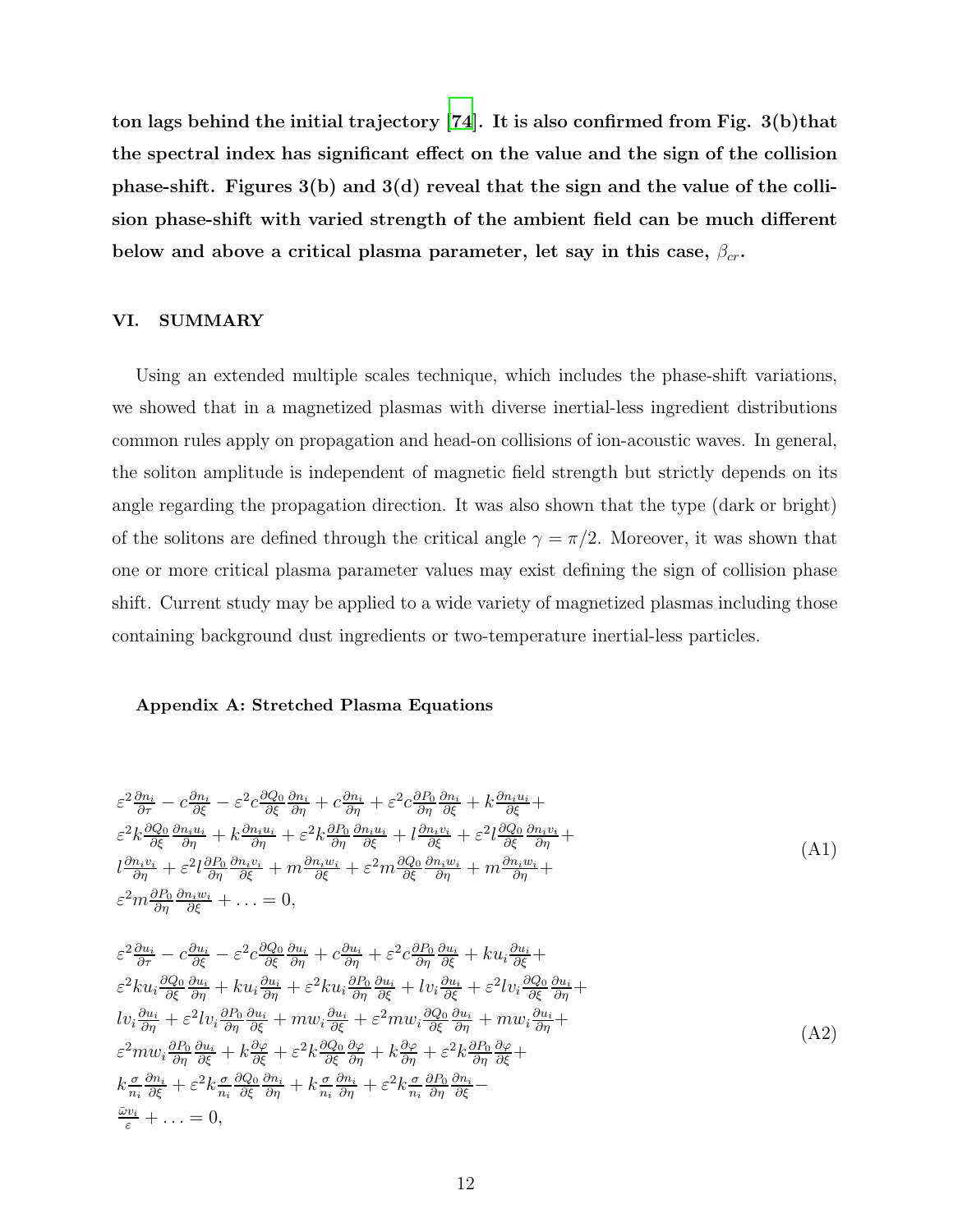ton lags behind the initial trajectory [\[74](#page-15-7)]. It is also confirmed from Fig. 3(b)that the spectral index has significant effect on the value and the sign of the collision phase-shift. Figures 3(b) and 3(d) reveal that the sign and the value of the collision phase-shift with varied strength of the ambient field can be much different below and above a critical plasma parameter, let say in this case,  $\beta_{cr}$ .

## <span id="page-11-0"></span>VI. SUMMARY

Using an extended multiple scales technique, which includes the phase-shift variations, we showed that in a magnetized plasmas with diverse inertial-less ingredient distributions common rules apply on propagation and head-on collisions of ion-acoustic waves. In general, the soliton amplitude is independent of magnetic field strength but strictly depends on its angle regarding the propagation direction. It was also shown that the type (dark or bright) of the solitons are defined through the critical angle  $\gamma = \pi/2$ . Moreover, it was shown that one or more critical plasma parameter values may exist defining the sign of collision phase shift. Current study may be applied to a wide variety of magnetized plasmas including those containing background dust ingredients or two-temperature inertial-less particles.

#### Appendix A: Stretched Plasma Equations

$$
\varepsilon^{2} \frac{\partial n_{i}}{\partial \tau} - c \frac{\partial n_{i}}{\partial \xi} - \varepsilon^{2} c \frac{\partial Q_{0}}{\partial \xi} \frac{\partial n_{i}}{\partial \eta} + c \frac{\partial n_{i}}{\partial \eta} + \varepsilon^{2} c \frac{\partial P_{0}}{\partial \eta} \frac{\partial n_{i}}{\partial \xi} + k \frac{\partial n_{i} u_{i}}{\partial \xi} +
$$
\n
$$
\varepsilon^{2} k \frac{\partial Q_{0}}{\partial \xi} \frac{\partial n_{i} u_{i}}{\partial \eta} + k \frac{\partial n_{i} u_{i}}{\partial \eta} + \varepsilon^{2} k \frac{\partial P_{0}}{\partial \eta} \frac{\partial n_{i} u_{i}}{\partial \xi} + l \frac{\partial n_{i} v_{i}}{\partial \xi} + \varepsilon^{2} l \frac{\partial Q_{0}}{\partial \xi} \frac{\partial n_{i} v_{i}}{\partial \eta} +
$$
\n
$$
l \frac{\partial n_{i} v_{i}}{\partial \eta} + \varepsilon^{2} l \frac{\partial P_{0}}{\partial \eta} \frac{\partial n_{i} v_{i}}{\partial \xi} + m \frac{\partial n_{i} w_{i}}{\partial \xi} + \varepsilon^{2} m \frac{\partial Q_{0}}{\partial \xi} \frac{\partial n_{i} w_{i}}{\partial \eta} + m \frac{\partial n_{i} w_{i}}{\partial \eta} +
$$
\n
$$
\varepsilon^{2} m \frac{\partial P_{0}}{\partial \eta} \frac{\partial n_{i} w_{i}}{\partial \xi} + \dots = 0,
$$
\n(A1)

$$
\varepsilon^{2} \frac{\partial u_{i}}{\partial \tau} - c \frac{\partial u_{i}}{\partial \xi} - \varepsilon^{2} c \frac{\partial Q_{0}}{\partial \xi} \frac{\partial u_{i}}{\partial \eta} + c \frac{\partial u_{i}}{\partial \eta} + \varepsilon^{2} c \frac{\partial P_{0}}{\partial \eta} \frac{\partial u_{i}}{\partial \xi} + ku_{i} \frac{\partial u_{i}}{\partial \xi} + \varepsilon^{2} ku_{i} \frac{\partial Q_{0}}{\partial \xi} \frac{\partial u_{i}}{\partial \eta} + ku_{i} \frac{\partial u_{i}}{\partial \eta} + \varepsilon^{2} ku_{i} \frac{\partial P_{0}}{\partial \eta} \frac{\partial u_{i}}{\partial \xi} + iv_{i} \frac{\partial u_{i}}{\partial \xi} + \varepsilon^{2} iv_{i} \frac{\partial Q_{0}}{\partial \xi} \frac{\partial u_{i}}{\partial \eta} + ku_{i} \frac{\partial u_{i}}{\partial \eta} + \varepsilon^{2} iv_{i} \frac{\partial P_{0}}{\partial \xi} \frac{\partial u_{i}}{\partial \eta} + \varepsilon^{2} iv_{i} \frac{\partial P_{0}}{\partial \xi} \frac{\partial u_{i}}{\partial \eta} + \varepsilon^{2} iv_{i} \frac{\partial P_{0}}{\partial \xi} \frac{\partial u_{i}}{\partial \eta} + \varepsilon^{2} iv_{i} \frac{\partial P_{0}}{\partial \xi} \frac{\partial u_{i}}{\partial \eta} + \varepsilon^{2} iv_{i} \frac{\partial Q_{0}}{\partial \xi} \frac{\partial u_{i}}{\partial \eta} + mw_{i} \frac{\partial u_{i}}{\partial \eta} + \varepsilon^{2} k \frac{\partial Q_{0}}{\partial \eta} \frac{\partial u_{i}}{\partial \xi} + k \frac{\partial \varphi}{\partial \xi} + \varepsilon^{2} k \frac{\sigma}{\eta_{i}} \frac{\partial Q_{0}}{\partial \xi} \frac{\partial u_{i}}{\partial \eta} + k \frac{\sigma}{\eta_{i}} \frac{\partial P_{0}}{\partial \eta} + \varepsilon^{2} k \frac{\sigma}{\eta_{i}} \frac{\partial P_{0}}{\partial \eta} \frac{\partial u_{i}}{\partial \xi} - \frac{\varepsilon^{2} v_{i}}{\varepsilon} + \dots = 0,
$$
\n(A2)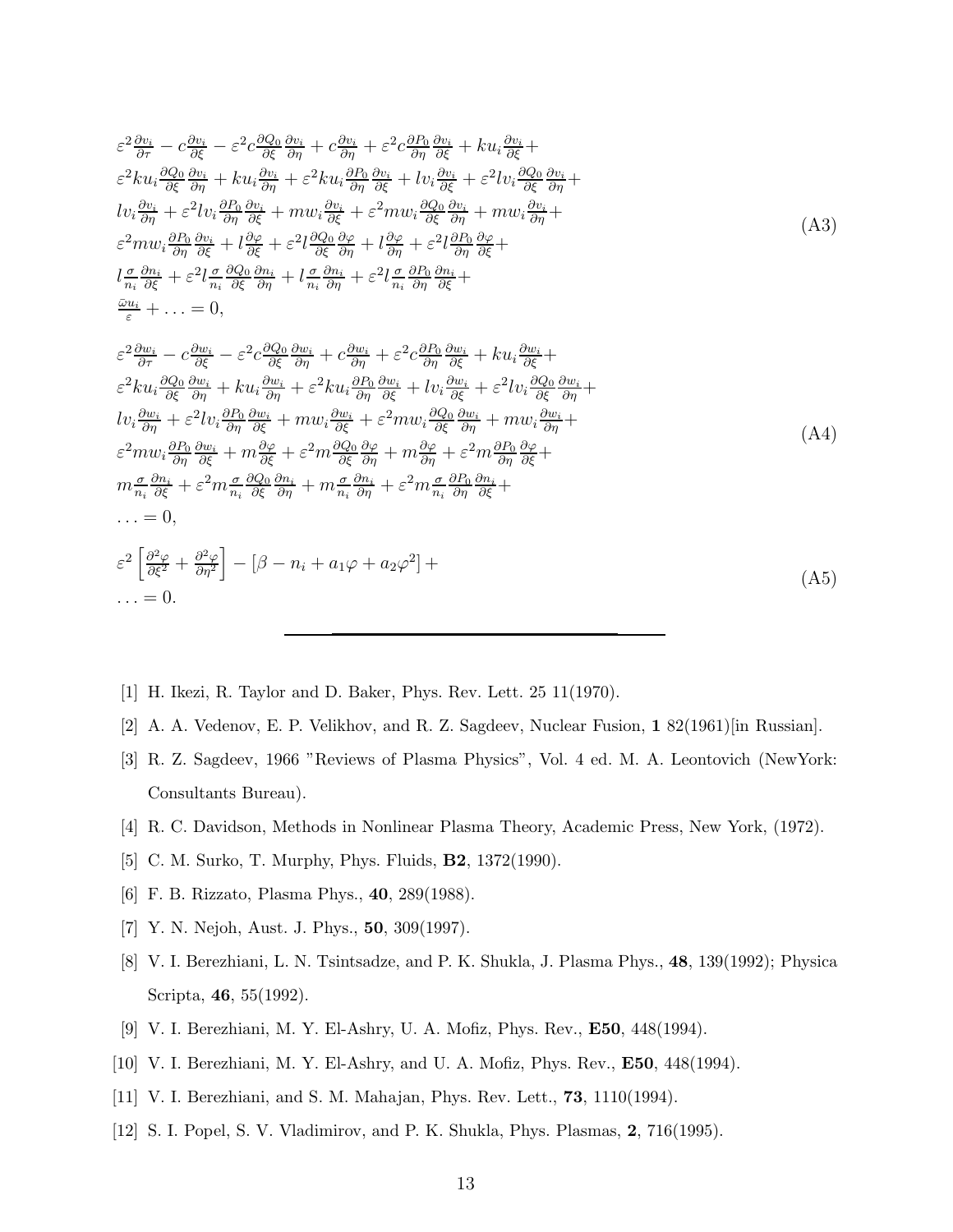$$
\varepsilon^{2} \frac{\partial v_{i}}{\partial \tau} - c \frac{\partial v_{i}}{\partial \xi} - \varepsilon^{2} c \frac{\partial Q_{0}}{\partial \xi} \frac{\partial v_{i}}{\partial \eta} + c \frac{\partial v_{i}}{\partial \eta} + \varepsilon^{2} c \frac{\partial P_{0}}{\partial \eta} \frac{\partial v_{i}}{\partial \xi} + ku_{i} \frac{\partial v_{i}}{\partial \xi} + k u_{i} \frac{\partial v_{i}}{\partial \xi} - \varepsilon^{2} c \frac{\partial Q_{0}}{\partial \eta} \frac{\partial v_{i}}{\partial \eta} + k u_{i} \frac{\partial P_{0}}{\partial \eta} \frac{\partial v_{i}}{\partial \xi} + v_{i} \frac{\partial Q_{0}}{\partial \xi} \frac{\partial v_{i}}{\partial \eta} + k u_{i} \frac{\partial P_{0}}{\partial \eta} \frac{\partial v_{i}}{\partial \xi} + v_{i} \frac{\partial P_{0}}{\partial \xi} \frac{\partial v_{i}}{\partial \eta} + \varepsilon^{2} l v_{i} \frac{\partial P_{0}}{\partial \xi} \frac{\partial v_{i}}{\partial \eta} + m u_{i} \frac{\partial v_{i}}{\partial \xi} + \varepsilon^{2} m u_{i} \frac{\partial Q_{0}}{\partial \xi} \frac{\partial v_{i}}{\partial \eta} + m u_{i} \frac{\partial v_{i}}{\partial \xi} + k u_{i} \frac{\partial Q_{0}}{\partial \eta} \frac{\partial v_{i}}{\partial \xi} + k u_{i} \frac{\partial Q_{0}}{\partial \xi} \frac{\partial v_{i}}{\partial \eta} + k u_{i} \frac{\partial Q_{0}}{\partial \xi} \frac{\partial v_{i}}{\partial \eta} + k u_{i} \frac{\partial Q_{0}}{\partial \eta} \frac{\partial v_{i}}{\partial \xi} + k u_{i} \frac{\partial w_{i}}{\partial \eta} + k u_{i} \frac{\partial W_{0}}{\partial \xi} + k u_{i} \frac{\partial W_{0}}{\partial \xi} + \cdots = 0,
$$
\n
$$
\varepsilon^{2} \frac{\partial w_{i}}{\partial \tau} - c \frac{\partial w_{i}}{\partial \xi} - \varepsilon^{2} c \frac{\partial Q_{0}}{\partial \xi} \frac{\partial w_{i}}{\partial \eta} + c \frac{\partial w_{i}}{\partial \eta} + \varepsilon^{2} c \frac{\partial P_{0}}{\partial \eta} \frac{\partial w_{i}}{\partial \xi} + k u_{i
$$

$$
\ldots = 0.
$$

- <span id="page-12-0"></span>[1] H. Ikezi, R. Taylor and D. Baker, Phys. Rev. Lett. 25 11(1970).
- <span id="page-12-1"></span>[2] A. A. Vedenov, E. P. Velikhov, and R. Z. Sagdeev, Nuclear Fusion, 1 82(1961)[in Russian].
- <span id="page-12-2"></span>[3] R. Z. Sagdeev, 1966 "Reviews of Plasma Physics", Vol. 4 ed. M. A. Leontovich (NewYork: Consultants Bureau).
- <span id="page-12-3"></span>[4] R. C. Davidson, Methods in Nonlinear Plasma Theory, Academic Press, New York, (1972).
- <span id="page-12-4"></span>[5] C. M. Surko, T. Murphy, Phys. Fluids, B2, 1372(1990).
- [6] F. B. Rizzato, Plasma Phys., 40, 289(1988).
- [7] Y. N. Nejoh, Aust. J. Phys., 50, 309(1997).
- [8] V. I. Berezhiani, L. N. Tsintsadze, and P. K. Shukla, J. Plasma Phys., 48, 139(1992); Physica Scripta, 46, 55(1992).
- [9] V. I. Berezhiani, M. Y. El-Ashry, U. A. Mofiz, Phys. Rev., E50, 448(1994).
- [10] V. I. Berezhiani, M. Y. El-Ashry, and U. A. Mofiz, Phys. Rev., E50, 448(1994).
- [11] V. I. Berezhiani, and S. M. Mahajan, Phys. Rev. Lett., **73**, 1110(1994).
- [12] S. I. Popel, S. V. Vladimirov, and P. K. Shukla, Phys. Plasmas, 2, 716(1995).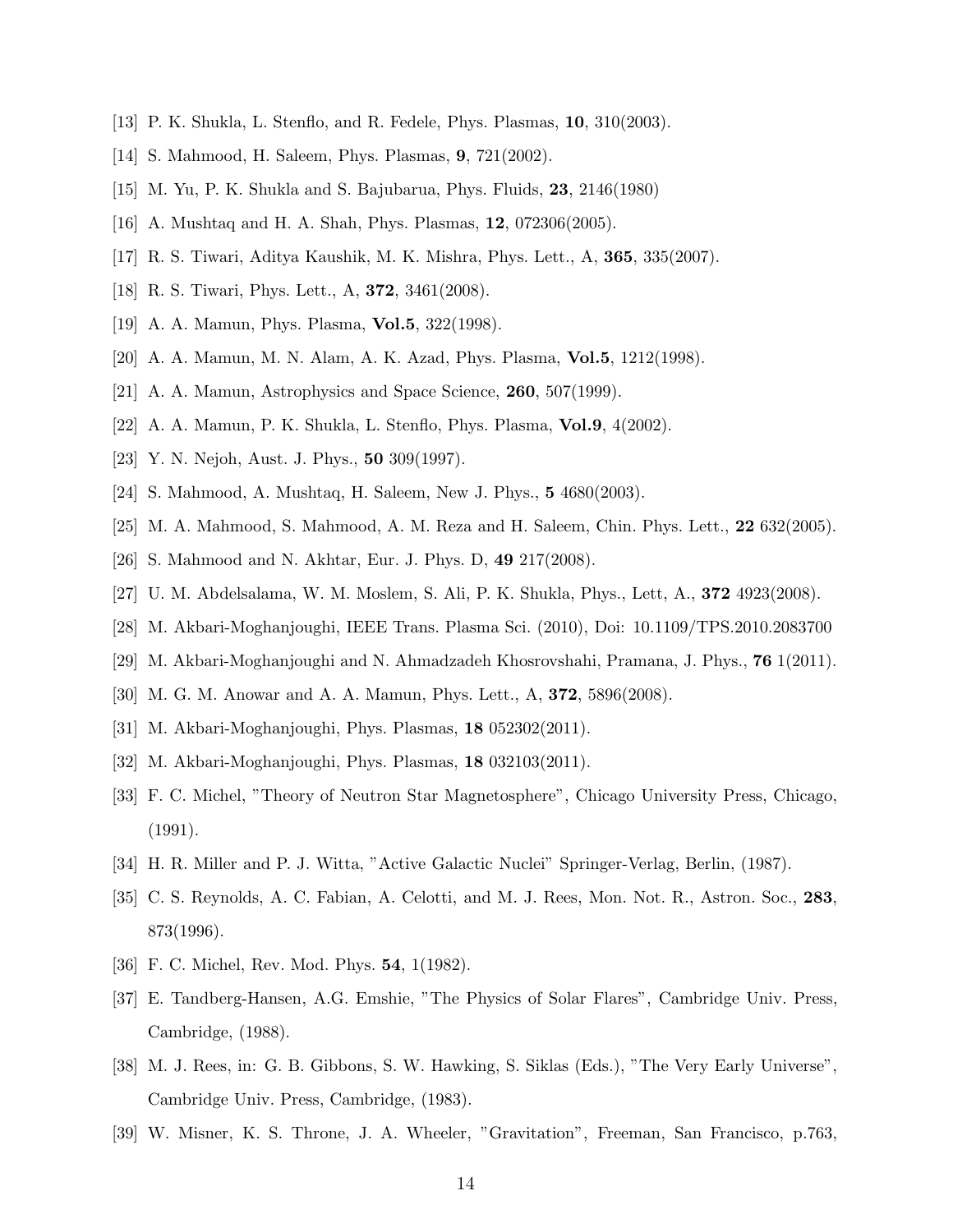- [13] P. K. Shukla, L. Stenflo, and R. Fedele, Phys. Plasmas, 10, 310(2003).
- [14] S. Mahmood, H. Saleem, Phys. Plasmas, 9, 721(2002).
- [15] M. Yu, P. K. Shukla and S. Bajubarua, Phys. Fluids, 23, 2146(1980)
- [16] A. Mushtaq and H. A. Shah, Phys. Plasmas, 12, 072306(2005).
- [17] R. S. Tiwari, Aditya Kaushik, M. K. Mishra, Phys. Lett., A, 365, 335(2007).
- [18] R. S. Tiwari, Phys. Lett., A, 372, 3461(2008).
- [19] A. A. Mamun, Phys. Plasma, **Vol.5**, 322(1998).
- [20] A. A. Mamun, M. N. Alam, A. K. Azad, Phys. Plasma, Vol.5, 1212(1998).
- [21] A. A. Mamun, Astrophysics and Space Science, 260, 507(1999).
- [22] A. A. Mamun, P. K. Shukla, L. Stenflo, Phys. Plasma, Vol.9, 4(2002).
- [23] Y. N. Nejoh, Aust. J. Phys., 50 309(1997).
- [24] S. Mahmood, A. Mushtaq, H. Saleem, New J. Phys., 5 4680(2003).
- [25] M. A. Mahmood, S. Mahmood, A. M. Reza and H. Saleem, Chin. Phys. Lett., 22 632(2005).
- [26] S. Mahmood and N. Akhtar, Eur. J. Phys. D, 49 217(2008).
- [27] U. M. Abdelsalama, W. M. Moslem, S. Ali, P. K. Shukla, Phys., Lett, A., 372 4923(2008).
- [28] M. Akbari-Moghanjoughi, IEEE Trans. Plasma Sci. (2010), Doi: 10.1109/TPS.2010.2083700
- <span id="page-13-0"></span>[29] M. Akbari-Moghanjoughi and N. Ahmadzadeh Khosrovshahi, Pramana, J. Phys., 76 1(2011).
- [30] M. G. M. Anowar and A. A. Mamun, Phys. Lett., A, 372, 5896(2008).
- <span id="page-13-1"></span>[31] M. Akbari-Moghanjoughi, Phys. Plasmas, **18** 052302(2011).
- <span id="page-13-3"></span><span id="page-13-2"></span>[32] M. Akbari-Moghanjoughi, Phys. Plasmas, 18 032103(2011).
- [33] F. C. Michel, "Theory of Neutron Star Magnetosphere", Chicago University Press, Chicago, (1991).
- <span id="page-13-5"></span><span id="page-13-4"></span>[34] H. R. Miller and P. J. Witta, "Active Galactic Nuclei" Springer-Verlag, Berlin, (1987).
- [35] C. S. Reynolds, A. C. Fabian, A. Celotti, and M. J. Rees, Mon. Not. R., Astron. Soc., 283, 873(1996).
- <span id="page-13-6"></span>[36] F. C. Michel, Rev. Mod. Phys. 54, 1(1982).
- <span id="page-13-7"></span>[37] E. Tandberg-Hansen, A.G. Emshie, "The Physics of Solar Flares", Cambridge Univ. Press, Cambridge, (1988).
- <span id="page-13-8"></span>[38] M. J. Rees, in: G. B. Gibbons, S. W. Hawking, S. Siklas (Eds.), "The Very Early Universe", Cambridge Univ. Press, Cambridge, (1983).
- <span id="page-13-9"></span>[39] W. Misner, K. S. Throne, J. A. Wheeler, "Gravitation", Freeman, San Francisco, p.763,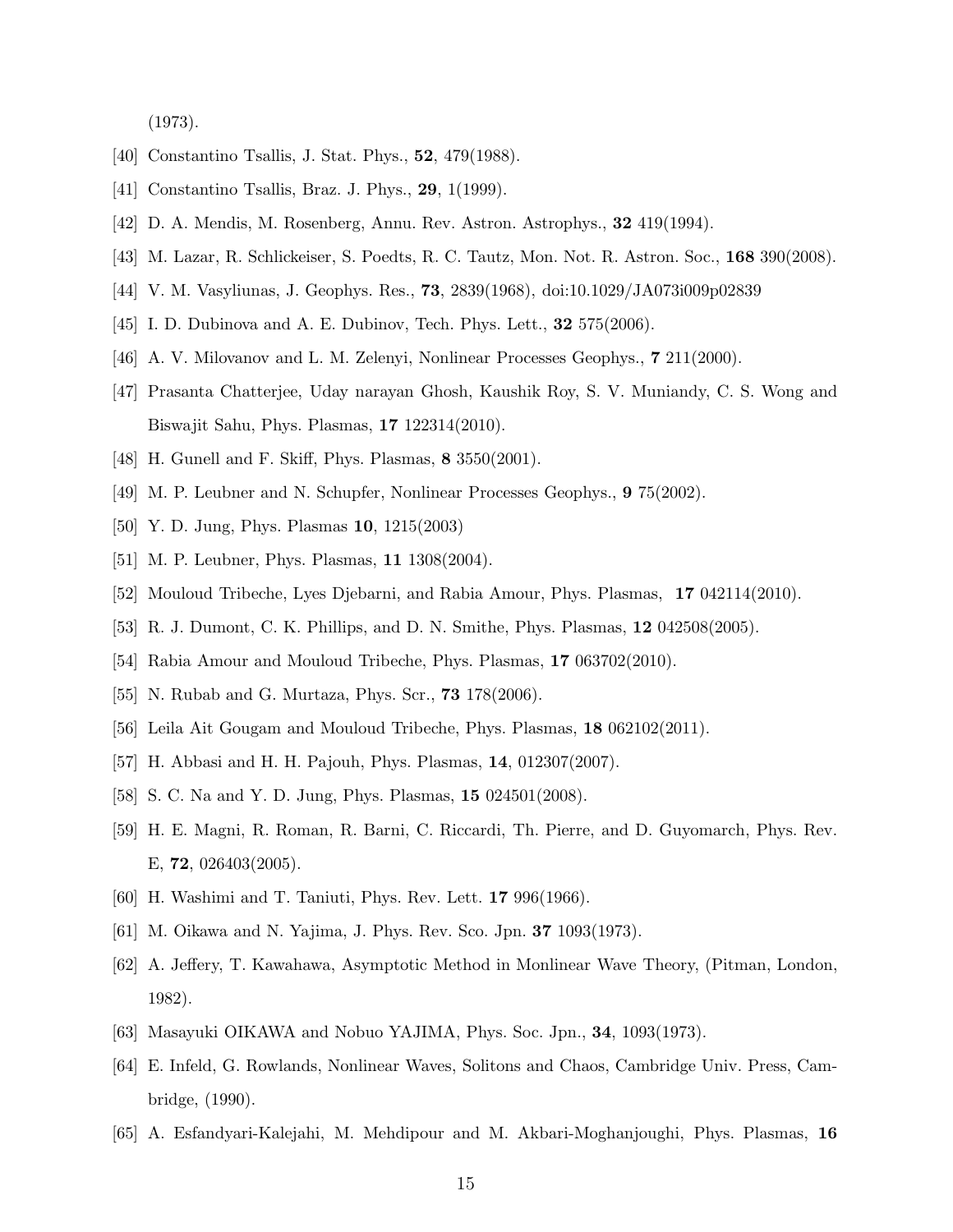(1973).

- <span id="page-14-1"></span><span id="page-14-0"></span>[40] Constantino Tsallis, J. Stat. Phys., **52**, 479(1988).
- <span id="page-14-2"></span>[41] Constantino Tsallis, Braz. J. Phys., 29, 1(1999).
- <span id="page-14-3"></span>[42] D. A. Mendis, M. Rosenberg, Annu. Rev. Astron. Astrophys., 32 419(1994).
- <span id="page-14-4"></span>[43] M. Lazar, R. Schlickeiser, S. Poedts, R. C. Tautz, Mon. Not. R. Astron. Soc., 168 390(2008).
- <span id="page-14-5"></span>[44] V. M. Vasyliunas, J. Geophys. Res., 73, 2839(1968), doi:10.1029/JA073i009p02839
- [45] I. D. Dubinova and A. E. Dubinov, Tech. Phys. Lett., **32** 575(2006).
- [46] A. V. Milovanov and L. M. Zelenyi, Nonlinear Processes Geophys., 7 211(2000).
- [47] Prasanta Chatterjee, Uday narayan Ghosh, Kaushik Roy, S. V. Muniandy, C. S. Wong and Biswajit Sahu, Phys. Plasmas, 17 122314(2010).
- [48] H. Gunell and F. Skiff, Phys. Plasmas, 8 3550(2001).
- [49] M. P. Leubner and N. Schupfer, Nonlinear Processes Geophys., 9 75(2002).
- [50] Y. D. Jung, Phys. Plasmas 10, 1215(2003)
- [51] M. P. Leubner, Phys. Plasmas, **11** 1308(2004).
- [52] Mouloud Tribeche, Lyes Djebarni, and Rabia Amour, Phys. Plasmas, 17 042114(2010).
- [53] R. J. Dumont, C. K. Phillips, and D. N. Smithe, Phys. Plasmas, 12 042508(2005).
- [54] Rabia Amour and Mouloud Tribeche, Phys. Plasmas, 17 063702(2010).
- [55] N. Rubab and G. Murtaza, Phys. Scr., **73** 178(2006).
- [56] Leila Ait Gougam and Mouloud Tribeche, Phys. Plasmas, 18 062102(2011).
- [57] H. Abbasi and H. H. Pajouh, Phys. Plasmas, 14, 012307(2007).
- <span id="page-14-6"></span>[58] S. C. Na and Y. D. Jung, Phys. Plasmas, 15 024501(2008).
- <span id="page-14-7"></span>[59] H. E. Magni, R. Roman, R. Barni, C. Riccardi, Th. Pierre, and D. Guyomarch, Phys. Rev. E, 72, 026403(2005).
- <span id="page-14-8"></span>[60] H. Washimi and T. Taniuti, Phys. Rev. Lett. 17 996(1966).
- [61] M. Oikawa and N. Yajima, J. Phys. Rev. Sco. Jpn. 37 1093(1973).
- [62] A. Jeffery, T. Kawahawa, Asymptotic Method in Monlinear Wave Theory, (Pitman, London, 1982).
- <span id="page-14-9"></span>[63] Masayuki OIKAWA and Nobuo YAJIMA, Phys. Soc. Jpn., 34, 1093(1973).
- <span id="page-14-10"></span>[64] E. Infeld, G. Rowlands, Nonlinear Waves, Solitons and Chaos, Cambridge Univ. Press, Cambridge, (1990).
- <span id="page-14-11"></span>[65] A. Esfandyari-Kalejahi, M. Mehdipour and M. Akbari-Moghanjoughi, Phys. Plasmas, 16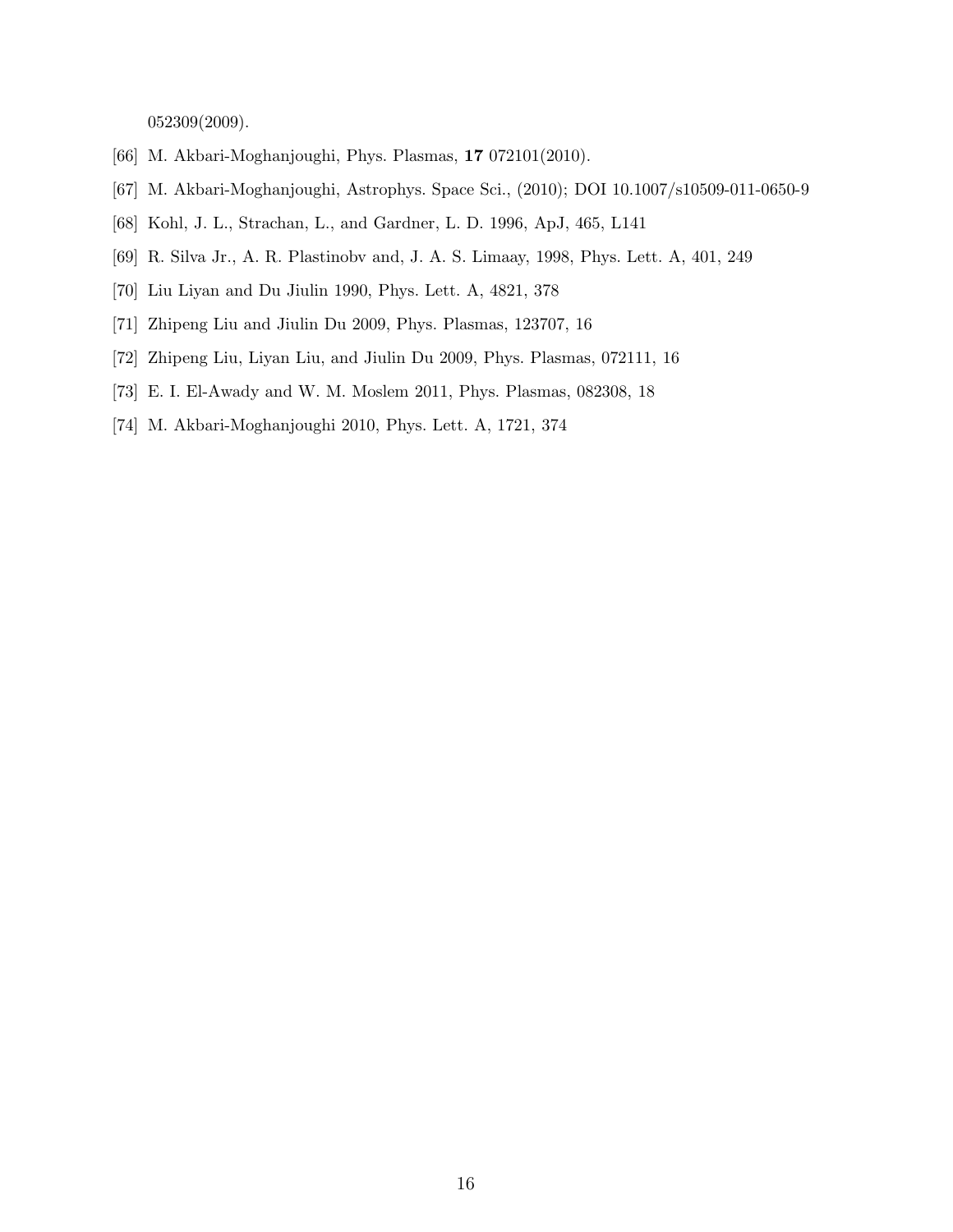052309(2009).

- <span id="page-15-1"></span><span id="page-15-0"></span>[66] M. Akbari-Moghanjoughi, Phys. Plasmas, 17 072101(2010).
- <span id="page-15-2"></span>[67] M. Akbari-Moghanjoughi, Astrophys. Space Sci., (2010); DOI 10.1007/s10509-011-0650-9
- <span id="page-15-3"></span>[68] Kohl, J. L., Strachan, L., and Gardner, L. D. 1996, ApJ, 465, L141
- <span id="page-15-4"></span>[69] R. Silva Jr., A. R. Plastinobv and, J. A. S. Limaay, 1998, Phys. Lett. A, 401, 249
- [70] Liu Liyan and Du Jiulin 1990, Phys. Lett. A, 4821, 378
- <span id="page-15-5"></span>[71] Zhipeng Liu and Jiulin Du 2009, Phys. Plasmas, 123707, 16
- <span id="page-15-6"></span>[72] Zhipeng Liu, Liyan Liu, and Jiulin Du 2009, Phys. Plasmas, 072111, 16
- <span id="page-15-7"></span>[73] E. I. El-Awady and W. M. Moslem 2011, Phys. Plasmas, 082308, 18
- [74] M. Akbari-Moghanjoughi 2010, Phys. Lett. A, 1721, 374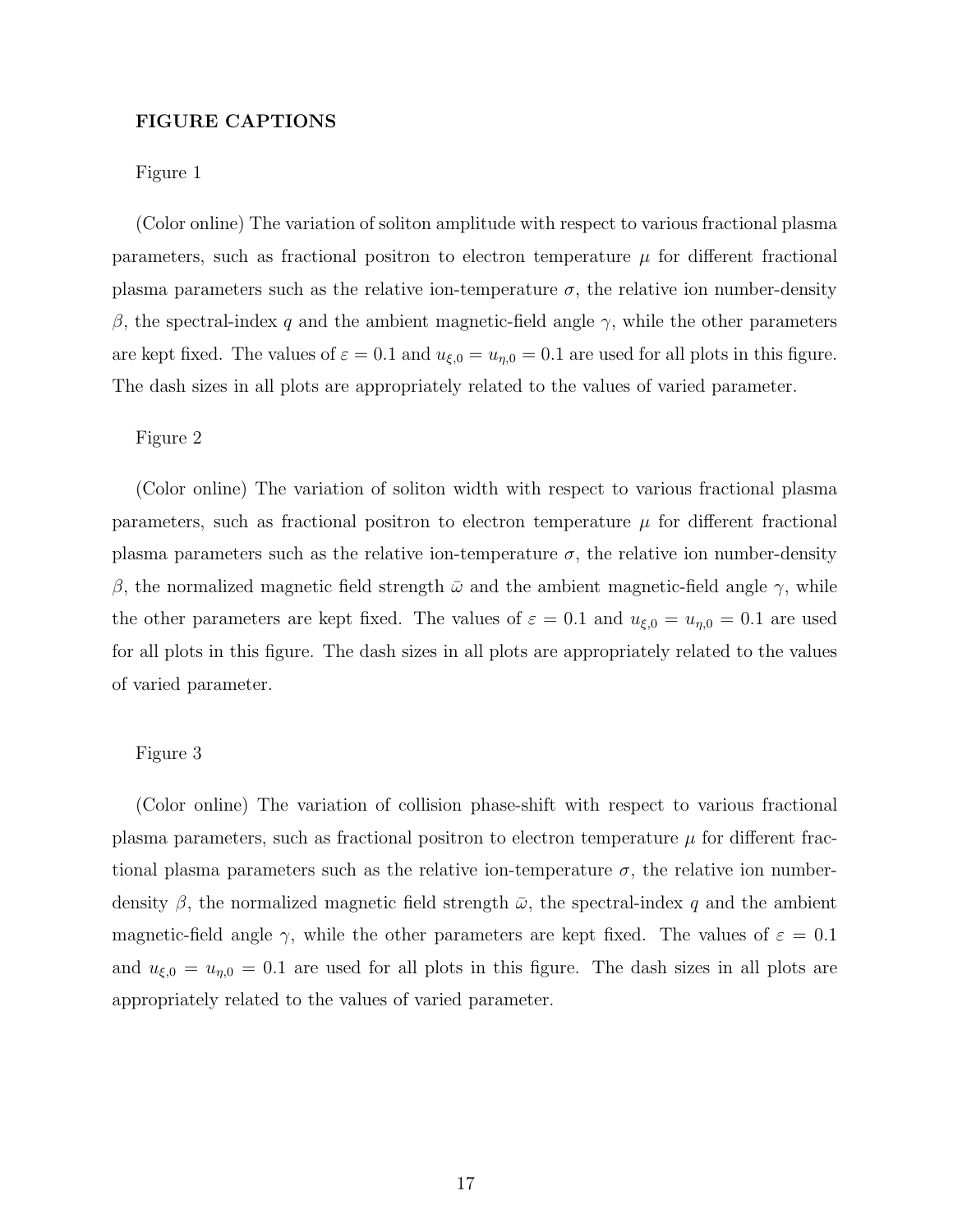# FIGURE CAPTIONS

## Figure 1

(Color online) The variation of soliton amplitude with respect to various fractional plasma parameters, such as fractional positron to electron temperature  $\mu$  for different fractional plasma parameters such as the relative ion-temperature  $\sigma$ , the relative ion number-density β, the spectral-index q and the ambient magnetic-field angle  $\gamma$ , while the other parameters are kept fixed. The values of  $\varepsilon = 0.1$  and  $u_{\xi,0} = u_{\eta,0} = 0.1$  are used for all plots in this figure. The dash sizes in all plots are appropriately related to the values of varied parameter.

## Figure 2

(Color online) The variation of soliton width with respect to various fractional plasma parameters, such as fractional positron to electron temperature  $\mu$  for different fractional plasma parameters such as the relative ion-temperature  $\sigma$ , the relative ion number-density β, the normalized magnetic field strength  $\bar{\omega}$  and the ambient magnetic-field angle γ, while the other parameters are kept fixed. The values of  $\varepsilon = 0.1$  and  $u_{\xi,0} = u_{\eta,0} = 0.1$  are used for all plots in this figure. The dash sizes in all plots are appropriately related to the values of varied parameter.

## Figure 3

(Color online) The variation of collision phase-shift with respect to various fractional plasma parameters, such as fractional positron to electron temperature  $\mu$  for different fractional plasma parameters such as the relative ion-temperature  $\sigma$ , the relative ion numberdensity  $\beta$ , the normalized magnetic field strength  $\bar{\omega}$ , the spectral-index q and the ambient magnetic-field angle  $\gamma$ , while the other parameters are kept fixed. The values of  $\varepsilon = 0.1$ and  $u_{\xi,0} = u_{\eta,0} = 0.1$  are used for all plots in this figure. The dash sizes in all plots are appropriately related to the values of varied parameter.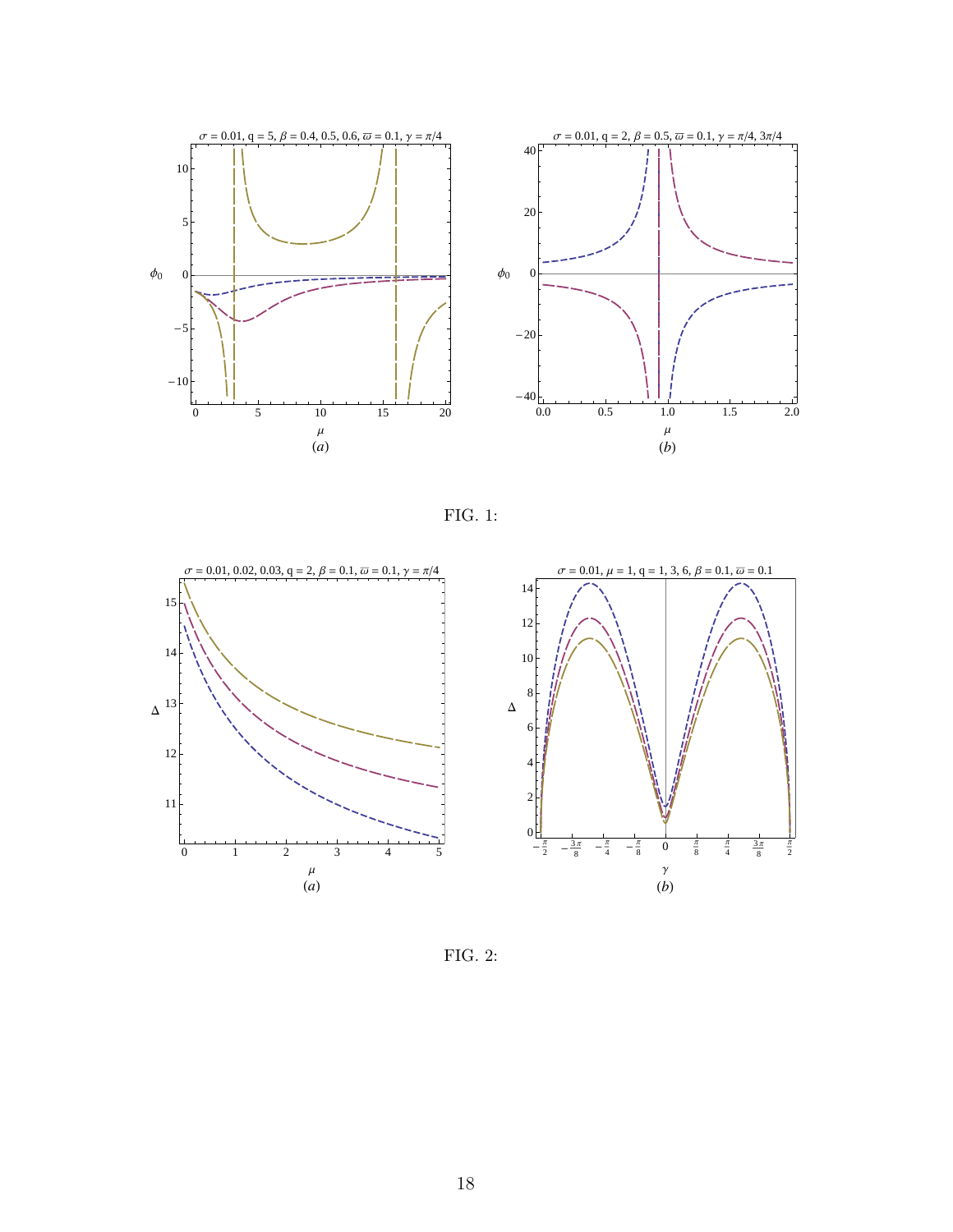

FIG. 1:



FIG. 2: